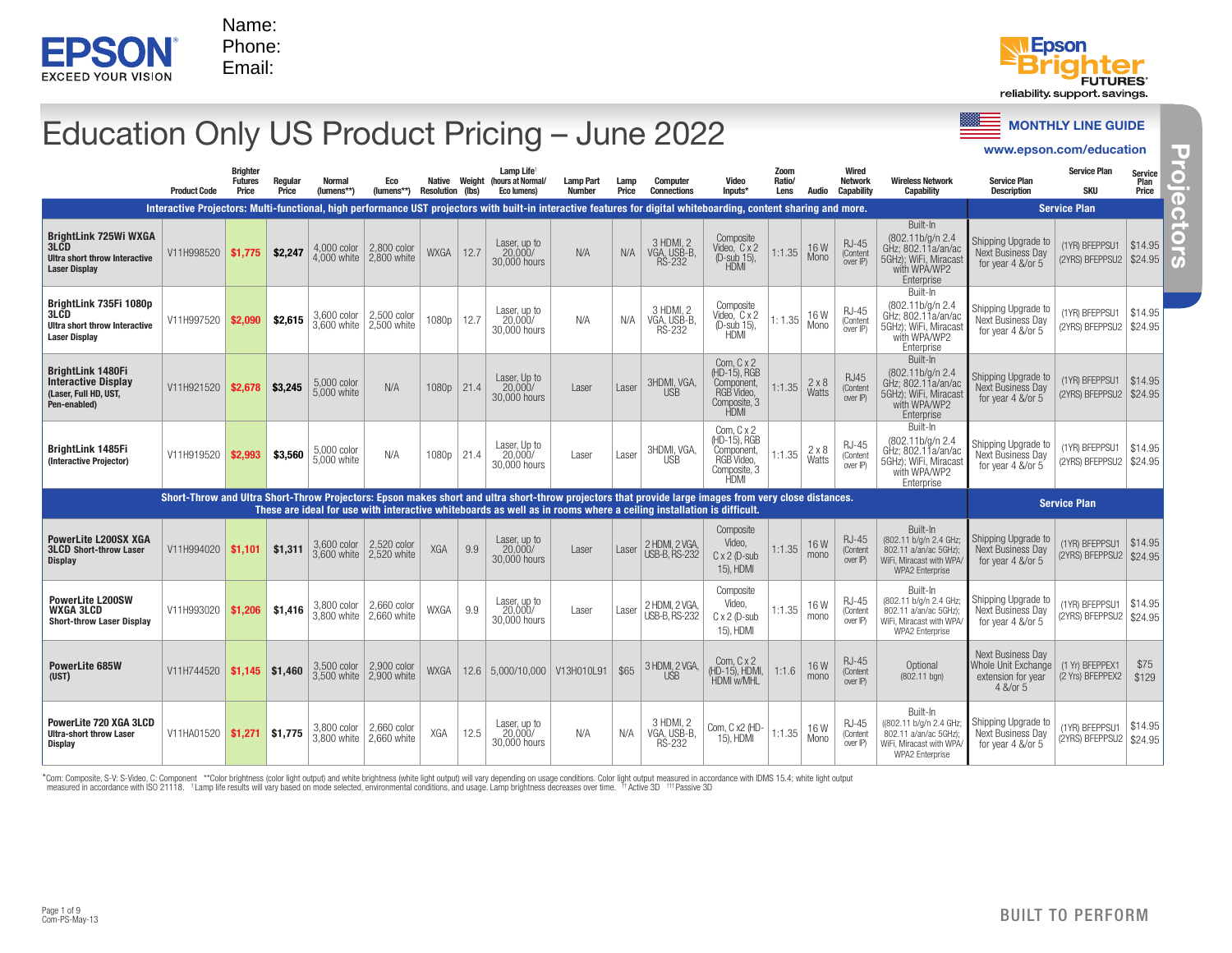



www.epson.com/education

# Education Only US Product Pricing – June 2022

|                                                                                                                                                                                                                                                                              |                     |                                            |                   |                              |                            |                                   |        |                                                                                                                                                                   |                                   |               |                                           |                                                                                       |                        |                |                                               |                                                                                                                  | www.epson.com/education                                                      |                                             |                                  |
|------------------------------------------------------------------------------------------------------------------------------------------------------------------------------------------------------------------------------------------------------------------------------|---------------------|--------------------------------------------|-------------------|------------------------------|----------------------------|-----------------------------------|--------|-------------------------------------------------------------------------------------------------------------------------------------------------------------------|-----------------------------------|---------------|-------------------------------------------|---------------------------------------------------------------------------------------|------------------------|----------------|-----------------------------------------------|------------------------------------------------------------------------------------------------------------------|------------------------------------------------------------------------------|---------------------------------------------|----------------------------------|
|                                                                                                                                                                                                                                                                              | <b>Product Code</b> | <b>Brighter</b><br><b>Futures</b><br>Price | Regular<br>Price  | <b>Normal</b><br>(lumens**)  | Eco<br>$(lumens**)$        | Native<br><b>Resolution (lbs)</b> | Weight | Lamp Life<br>(hours at Normal/<br><b>Eco lumens)</b>                                                                                                              | <b>Lamp Part</b><br><b>Number</b> | Lamp<br>Price | Computer<br><b>Connections</b>            | Video<br>Inputs*                                                                      | Zoom<br>Ratio/<br>Lens | Audio          | Wired<br><b>Network</b><br>Capability         | <b>Wireless Network</b><br><b>Capability</b>                                                                     | <b>Service Plan</b><br><b>Description</b>                                    | <b>Service Plan</b><br>SKU                  | <b>Service</b><br>Plan<br>Price  |
|                                                                                                                                                                                                                                                                              |                     |                                            |                   |                              |                            |                                   |        | Interactive Projectors: Multi-functional, high performance UST projectors with built-in interactive features for digital whiteboarding, content sharing and more. |                                   |               |                                           |                                                                                       |                        |                |                                               |                                                                                                                  |                                                                              | <b>Service Plan</b>                         |                                  |
| <b>BrightLink 725Wi WXGA</b><br>3LCD<br><b>Ultra short throw Interactive</b><br><b>Laser Display</b>                                                                                                                                                                         | V11H998520          | \$1.775                                    | \$2,247           | $4,000$ color<br>4,000 white | 2,800 color<br>2,800 white | <b>WXGA</b>                       | 12.7   | Laser, up to<br>20,000/<br>30,000 hours                                                                                                                           | N/A                               | N/A           | 3 HDMI, 2<br>VGA, USB-B<br><b>RS-232</b>  | Composite<br>Video, C x 2<br>(D-sub 15),<br><b>HDMI</b>                               | 1:1.35                 | 16W<br>Mono    | <b>RJ-45</b><br>(Content<br>over <sup>P</sup> | Built-In<br>(802.11b/g/n 2.4<br>GHz; 802.11a/an/ac<br>5GHz); WiFi, Miracast<br>with WPA/WP2<br>Enterprise        | Shipping Upgrade to<br>Next Business Day<br>for year 4 &/or 5                | (1YR) BFEPPSU1<br>(2YRS) BFEPPSU2           | $\frac{1}{2}$ \$14.95<br>\$24.95 |
| BrightLink 735Fi 1080p<br>3LCD<br>Ultra short throw Interactive<br><b>Laser Display</b>                                                                                                                                                                                      | V11H997520          | \$2,090                                    | \$2,615           | 3,600 color<br>3,600 white   | 2,500 color<br>2,500 white | 1080p                             | 12.7   | Laser, up to<br>20,000/<br>30,000 hours                                                                                                                           | N/A                               | N/A           | 3 HDMI. 2<br>VGA, USB-B.<br><b>RS-232</b> | Composite<br>Video, C x 2<br>(D-sub 15),<br><b>HDMI</b>                               | 1:1.35                 | 16 W<br>Mono   | <b>RJ-45</b><br>(Content<br>over IP)          | Built-In<br>(802.11b/g/n 2.4)<br>GHz; 802.11a/an/ac<br>5GHz): WiFi, Miracast<br>with WPA/WP2<br>Enterprise       | Shipping Upgrade to<br>Next Business Day<br>for year 4 &/or 5                | (1YR) BFEPPSU1<br>(2YRS) BFEPPSU2           | \$14.95<br>\$24.95               |
| <b>BrightLink 1480Fi</b><br><b>Interactive Display</b><br>(Laser, Full HD, UST,<br>Pen-enabled)                                                                                                                                                                              | V11H921520          | \$2,678                                    | \$3,245           | 5,000 color<br>5,000 white   | N/A                        | $1080p$   21.4                    |        | Laser, Up to<br>20.000/<br>30,000 hours                                                                                                                           | Laser                             | Laser         | 3HDMI, VGA,<br><b>USB</b>                 | Com, $Cx2$<br>(HD-15), RGB<br>Component,<br>RGB Video,<br>Composite, 3<br>HDMI        | 1:1.35                 | 2x8<br>Watts   | <b>RJ45</b><br>(Content<br>over IP)           | Built-In<br>(802.11b/g/n 2.4)<br>GHz; 802.11a/an/ac<br>5GHz); WiFi, Miracast<br>with WPA/WP2<br>Enterprise       | Shipping Upgrade to<br><b>Next Business Dav</b><br>for year 4 &/or 5         | (1YR) BFEPPSU1<br>(2YRS) BFEPPSU2           | \$14.95<br>\$24.95               |
| <b>BrightLink 1485Fi</b><br>(Interactive Projector)                                                                                                                                                                                                                          | V11H919520          | \$2,993                                    | \$3,560           | 5,000 color<br>5,000 white   | N/A                        | 1080p                             | 21.4   | Laser, Up to<br>20,000/<br>30,000 hours                                                                                                                           | Laser                             | Laser         | 3HDMI, VGA,<br><b>USB</b>                 | Com, C x 2<br>(HD-15), RGB<br>Component,<br>RGB Video,<br>Composite, 3<br><b>HDMI</b> | 1:1.35                 | 2 × 8<br>Watts | $RJ-45$<br>(Content<br>over IP)               | Built-In<br>(802.11b/g/n 2.4<br>GHz; 802.11a/an/ac<br>5GHz): WiFi. Miracast<br>with WPA/WP2<br>Enterprise        | Shipping Upgrade to<br>Next Business Day<br>for year 4 &/or 5                | (1YR) BFEPPSU1<br>(2YRS) BFEPPSU2           | \$14.95<br>\$24.95               |
| Short-Throw and Ultra Short-Throw Projectors: Epson makes short and ultra short-throw projectors that provide large images from very close distances.<br>These are ideal for use with interactive whiteboards as well as in rooms where a ceiling installation is difficult. |                     |                                            |                   |                              |                            |                                   |        |                                                                                                                                                                   |                                   |               | <b>Service Plan</b>                       |                                                                                       |                        |                |                                               |                                                                                                                  |                                                                              |                                             |                                  |
| <b>PowerLite L200SX XGA</b><br><b>3LCD Short-throw Laser</b><br><b>Display</b>                                                                                                                                                                                               | V11H994020          | \$1.101                                    | \$1,311           | 3,600 color<br>3.600 white   | 2,520 color<br>2.520 white | <b>XGA</b>                        | 9.9    | Laser, up to<br>20,000/<br>30,000 hours                                                                                                                           | Laser                             | Laser         | 2 HDMI, 2 VGA<br><b>USB-B, RS-232</b>     | Composite<br>Video,<br>$C \times 2$ (D-sub<br>15), HDMI                               | 1:1.35                 | 16W<br>mono    | <b>RJ-45</b><br>(Content<br>over IP)          | Built-In<br>(802.11 b/g/n 2.4 GHz;<br>802.11 a/an/ac 5GHz):<br>WiFi. Miracast with WPA<br><b>WPA2 Enterprise</b> | Shipping Upgrade to<br>Next Business Dav<br>for year 4 &/or 5                | (1YR) BFEPPSU1<br>(2YRS) BFEPPSU2   \$24.95 | \$14.95                          |
| <b>PowerLite L200SW</b><br>WXGA 3LCD<br><b>Short-throw Laser Display</b>                                                                                                                                                                                                     | V11H993020          | \$1,206                                    | \$1,416           | 3,800 color<br>3.800 white   | 2,660 color<br>2.660 white | WXGA                              | 9.9    | Laser, up to<br>20.000/<br>30,000 hours                                                                                                                           | Laser                             | Laser         | 2 HDMI, 2 VGA,<br><b>USB-B, RS-232</b>    | Composite<br>Video.<br>$C \times 2$ (D-sub<br>15), HDMI                               | 1:1.35                 | 16W<br>mono    | <b>RJ-45</b><br>(Content<br>over IP)          | Built-In<br>(802.11 b/g/n 2.4 GHz;<br>802.11 a/an/ac 5GHz);<br>WiFi. Miracast with WPA<br>WPA2 Enterprise        | Shipping Upgrade to<br>Next Business Day<br>for year 4 &/or 5                | (1YR) BFEPPSU1<br>(2YRS) BFEPPSU2           | \$14.95<br>\$24.95               |
| PowerLite 685W<br>(UST)                                                                                                                                                                                                                                                      | V11H744520          |                                            | $$1,145$ $$1,460$ | 3,500 color<br>3.500 white   | 2,900 color<br>2.900 white | <b>WXGA</b>                       |        | 12.6 5,000/10,000   V13H010L91                                                                                                                                    |                                   | \$65          | 3 HDMI, 2 VGA,<br><b>USB</b>              | Com. $C \times 2$<br>(HD-15). HDMI.<br>HDMI w/MHL                                     | 1:1.6                  | 16W<br>mono    | <b>RJ-45</b><br>(Content<br>over IP)          | Optional<br>(802.11 bgn)                                                                                         | Next Business Day<br>Whole Unit Exchange  <br>extension for year<br>4 &/or 5 | (1 Yr) BFEPPEX1<br>(2 Yrs) BFEPPEX2         | \$75<br>\$129                    |
| PowerLite 720 XGA 3LCD<br><b>Ultra-short throw Laser</b><br>Display                                                                                                                                                                                                          | V11HA01520          | $$1,271$ \$1,775                           |                   | 3,800 color<br>3.800 white   | 2,660 color<br>2.660 white | XGA                               | 12.5   | Laser, up to<br>20,000/<br>30,000 hours                                                                                                                           | N/A                               | N/A           | 3 HDMI, 2<br>VGA, USB-B<br><b>RS-232</b>  | Com, C x2 (HD-<br>15), HDMI                                                           | 1:1.35                 | 16W<br>Mono    | <b>RJ-45</b><br>(Content<br>over IP)          | Built-In<br>((802.11 b/g/n 2.4 GHz;<br>802.11 a/an/ac 5GHz);<br>WiFi. Miracast with WPA/<br>WPA2 Enterprise      | Shipping Upgrade to<br>Next Business Day<br>for year 4 &/or 5                | 1YR) BFEPPSU1<br>(2YRS) BFEPPSU2   \$24.95  | \$14.95                          |

\*Com: Composite, S-V: S-Video, C: Component \*\*Color brightness (color light output) and white brightness (white light output) will vary depending on usage conditions. Color light output measured in accordance with IDMS 15.

Page 1 of 9<br>Com-PS-May-13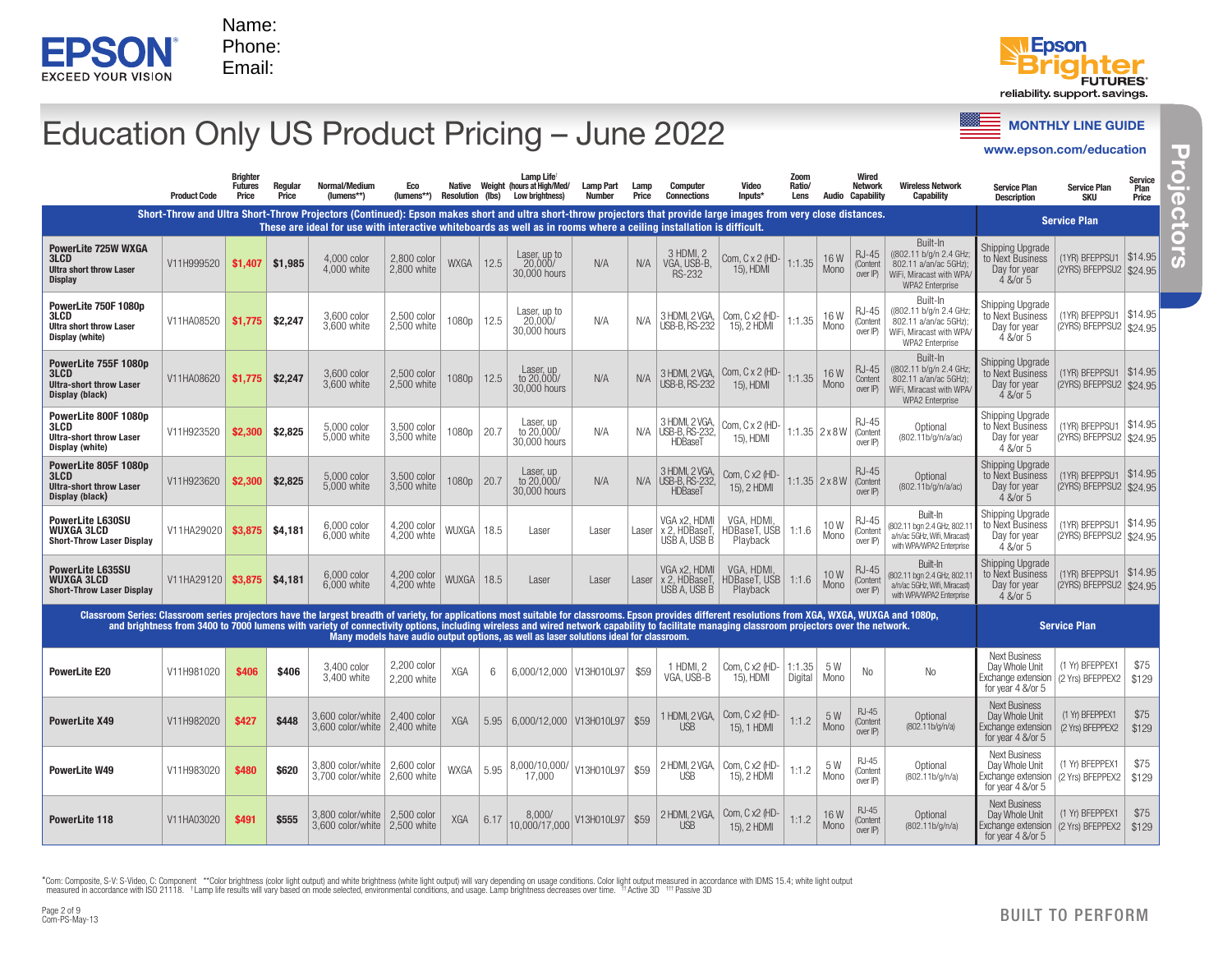



# Education Only US Product Pricing – June 2022

| <b>MONTHLY LINE GUIL</b> |  |
|--------------------------|--|
|                          |  |

| Education Only US Product Pricing - June 2022                                                                                                                                                           |                     |                                            |                  |                                                                                                                                                                                                                                                                                          |                              |                                   |      |                                                                                                                            |                            |               |                                                    |                                                  |                        |                             |                                              |                                                                                                                   |                                                                                                                        | <b>MONTHLY LINE GUIDE</b>                             |                          |
|---------------------------------------------------------------------------------------------------------------------------------------------------------------------------------------------------------|---------------------|--------------------------------------------|------------------|------------------------------------------------------------------------------------------------------------------------------------------------------------------------------------------------------------------------------------------------------------------------------------------|------------------------------|-----------------------------------|------|----------------------------------------------------------------------------------------------------------------------------|----------------------------|---------------|----------------------------------------------------|--------------------------------------------------|------------------------|-----------------------------|----------------------------------------------|-------------------------------------------------------------------------------------------------------------------|------------------------------------------------------------------------------------------------------------------------|-------------------------------------------------------|--------------------------|
|                                                                                                                                                                                                         |                     |                                            |                  |                                                                                                                                                                                                                                                                                          |                              |                                   |      |                                                                                                                            |                            |               |                                                    |                                                  |                        |                             |                                              |                                                                                                                   | www.epson.com/education                                                                                                |                                                       |                          |
|                                                                                                                                                                                                         | <b>Product Code</b> | <b>Brighter</b><br><b>Futures</b><br>Price | Regular<br>Price | Normal/Medium<br>(lumens**)                                                                                                                                                                                                                                                              | Eco<br>(lumens**)            | Native<br><b>Resolution (lbs)</b> |      | Lamp Life <sup>t</sup><br>Weight (hours at High/Med/<br><b>Low brightness)</b>                                             | Lamp Part<br><b>Number</b> | Lamp<br>Price | <b>Computer</b><br><b>Connections</b>              | Video<br>Inputs*                                 | Zoom<br>Ratio/<br>Lens | Audio                       | Wired<br><b>Network</b><br><b>Capability</b> | <b>Wireless Network</b><br><b>Capability</b>                                                                      | <b>Service Plan</b><br><b>Description</b>                                                                              | <b>Service Plan</b><br><b>SKU</b>                     | Service<br>Plan<br>Price |
|                                                                                                                                                                                                         |                     |                                            |                  | Short-Throw and Ultra Short-Throw Projectors (Continued): Epson makes short and ultra short-throw projectors that provide large images from very close distances.<br>These are ideal for use with interactive whiteboards as well as in rooms where a ceiling installation is difficult. |                              |                                   |      |                                                                                                                            |                            |               |                                                    |                                                  |                        |                             |                                              |                                                                                                                   |                                                                                                                        | <b>Service Plan</b>                                   |                          |
| PowerLite 725W WXGA<br>3LCD<br><b>Ultra short throw Laser</b><br><b>Display</b>                                                                                                                         | V11H999520          | \$1,407                                    | \$1,985          | 4,000 color<br>4,000 white                                                                                                                                                                                                                                                               | 2,800 color<br>2,800 white   | <b>WXGA</b>                       | 12.5 | Laser, up to<br>20,000/<br>30,000 hours                                                                                    | N/A                        | N/A           | 3 HDMI, 2<br>VGA, USB-B,<br><b>RS-232</b>          | Com, C x 2 (HD-<br>15), HDMI                     | 1:1.35                 | 16W<br>Mono                 | RJ-45<br>(Content<br>over IP)                | Built-In<br>((802.11 b/g/n 2.4 GHz)<br>802.11 a/an/ac 5GHz)<br>WiFi, Miracast with WPA/<br><b>WPA2 Enterprise</b> | Shipping Upgrade<br>to Next Business<br>Day for year<br>4 &/or 5                                                       | (1YR) BFEPPSU1   \$14.95<br>(2YRS) BFEPPSU2 \$24.95   |                          |
| PowerLite 750F 1080p<br>3LCD<br><b>Ultra short throw Laser</b><br>Display (white)                                                                                                                       | V11HA08520          | \$1,775                                    | \$2,247          | 3,600 color<br>3.600 white                                                                                                                                                                                                                                                               | 2,500 color<br>2.500 white   | 1080p                             | 12.5 | Laser, up to<br>20,000/<br>30,000 hours                                                                                    | N/A                        | N/A           | 3 HDMI, 2 VGA,<br>USB-B, RS-232                    | Com, C x2 (HD-<br>15), 2 HDMI                    | 1:1.35                 | 16W<br>Mono                 | RJ-45<br>(Content<br>over IP)                | Built-In<br>((802.11 b/g/n 2.4 GHz<br>802.11 a/an/ac 5GHz);<br>WiFi. Miracast with WPA<br>WPA2 Enterprise         | Shipping Upgrade<br>to Next Business<br>Day for year<br>4 &/or 5                                                       | (1YR) BFEPPSU1   \$14.95<br>(2YRS) BFEPPSU2   \$24.95 |                          |
| PowerLite 755F 1080p<br>3LCD<br><b>Ultra-short throw Laser</b><br>Display (black)                                                                                                                       | V11HA08620          | \$1,775                                    | \$2,247          | 3,600 color<br>3.600 white                                                                                                                                                                                                                                                               | 2,500 color<br>2,500 white   | 1080p                             | 12.5 | Laser, up<br>to 20,000/<br>30,000 hours                                                                                    | N/A                        | N/A           | 3 HDMI, 2 VGA,<br>USB-B, RS-232                    | Com, C x 2 (HD-<br>15), HDMI                     | 1:1.35                 | 16W<br>Mono                 | <b>RJ-45</b><br>Content<br>over IP)          | Built-In<br>((802.11 b/g/n 2.4 GHz)<br>802.11 a/an/ac 5GHz);<br>WiFi, Miracast with WPA<br>WPA2 Enterprise        | Shipping Upgrade<br>to Next Business<br>Day for year<br>4 &/or 5                                                       | (1YR) BFEPPSU1   \$14.95<br>(2YRS) BFEPPSU2 \$24.95   |                          |
| PowerLite 800F 1080p<br><b>3LCD</b><br><b>Ultra-short throw Laser</b><br>Display (white)                                                                                                                | V11H923520          | \$2,300                                    | \$2,825          | 5,000 color<br>5.000 white                                                                                                                                                                                                                                                               | 3,500 color<br>3,500 white   | 1080p                             | 20.7 | Laser, up<br>to 20,000/<br>30,000 hours                                                                                    | N/A                        | N/A           | 3 HDMI, 2 VGA,<br><b>JSB-B, RS-232,</b><br>HDBaseT | Com, C x 2 (HD-<br>15), HDMI                     |                        | 1:1.35   2 x 8 W   (Content | <b>RJ-45</b><br>over IP)                     | Optional<br>(802.11b/g/n/a/ac)                                                                                    | Shipping Upgrade<br>to Next Business<br>Day for year<br>4 &/or 5                                                       | (1YR) BFEPPSU1   \$14.95<br>(2YRS) BFEPPSU2   \$24.95 |                          |
| PowerLite 805F 1080p<br>3LCD<br><b>Ultra-short throw Laser</b><br>Display (black)                                                                                                                       | V11H923620          | \$2,300                                    | \$2,825          | 5,000 color<br>5.000 white                                                                                                                                                                                                                                                               | 3,500 color<br>3,500 white   | 1080p                             | 20.7 | Laser, up<br>to 20,000/<br>30,000 hours                                                                                    | N/A                        | N/A           | 3 HDMI, 2 VGA,<br><b>USB-B, RS-232</b><br>HDBaseT  | Com, C x2 (HD-<br>15), 2 HDMI                    |                        | $1:1.35$ 2 x 8 W            | <b>RJ-45</b><br>(Content<br>over IP)         | Optional<br>(802.11b/g/n/a/ac)                                                                                    | Shipping Upgrade<br>to Next Business<br>Day for year<br>4 &/or 5                                                       | (1YR) BFEPPSU1   \$14.95<br>(2YRS) BFEPPSU2 \$24.95   |                          |
| <b>PowerLite L630SU</b><br>WUXGA 3LCD<br><b>Short-Throw Laser Display</b>                                                                                                                               | V11HA29020          | \$3,875                                    | \$4,181          | 6,000 color<br>6.000 white                                                                                                                                                                                                                                                               | 4,200 color<br>4,200 whte    | WUXGA                             | 18.5 | Laser                                                                                                                      | Laser                      | Laser         | VGA x2, HDMI<br>x 2, HDBaseT,<br>USB A, USB B      | VGA, HDMI.<br>HDBaseT, USB  <br>Playback         | 1:1.6                  | 10W<br>Mono                 | <b>RJ-45</b><br>(Conten<br>over IP)          | Built-In<br>(802.11 bgn 2.4 GHz, 802.1<br>a/n/ac 5GHz, Wifi, Miracast)<br>with WPA/WPA2 Enterprise                | Shipping Upgrade<br>to Next Business<br>Day for year<br>4 &/or 5                                                       | (1YR) BFEPPSU1   \$14.95<br>(2YRS) BFEPPSU2   \$24.95 |                          |
| <b>PowerLite L635SU</b><br><b>WUXGA 3LCD</b><br><b>Short-Throw Laser Display</b>                                                                                                                        | V11HA29120          | \$3,875                                    | \$4,181          | 6,000 color<br>6.000 white                                                                                                                                                                                                                                                               | 4,200 color<br>4,200 whte    | WUXGA                             | 18.5 | Laser                                                                                                                      | Laser                      | Laser         | VGA x2. HDMI<br>x 2, HDBaseT,<br>USB A, USB B      | VGA, HDMI<br>HDBaseT, USB   1:1.6<br>Playback    |                        | 10W<br>Mono                 | <b>RJ-45</b><br>(Content<br>over IP)         | Built-In<br>(802.11 bgn 2.4 GHz, 802.1<br>a/n/ac 5GHz, Wifi, Miracast)<br>with WPA/WPA2 Enterprise                | Shipping Upgrade<br>to Next Business<br>Day for year<br>4 &/or 5                                                       | (1YR) BFEPPSU1   \$14.95<br>(2YRS) BFEPPSU2   \$24.95 |                          |
| Classroom Series: Classroom series projectors have the largest breadth of variety, for applications most suitable for classrooms. Epson provides different resolutions from XGA, WXGA, WUXGA and 1080p, |                     |                                            |                  | and brightness from 3400 to 7000 lumens with variety of connectivity options, including wireless and wired network capability to facilitate managing classroom projectors over the network.                                                                                              |                              |                                   |      | Many models have audio output options, as well as laser solutions ideal for classroom.                                     |                            |               |                                                    |                                                  |                        |                             |                                              |                                                                                                                   |                                                                                                                        | <b>Service Plan</b>                                   |                          |
| <b>PowerLite E20</b>                                                                                                                                                                                    | V11H981020          | \$406                                      | \$406            | 3.400 color<br>3,400 white                                                                                                                                                                                                                                                               | 2,200 color<br>2.200 white   | XGA                               | 6    | 6,000/12,000   V13H010L97                                                                                                  |                            | \$59          | 1 HDMI. 2<br>VGA, USB-B                            | Com, C x2 (HD-<br>15), HDMI                      | 1:1.35<br>Digital      | 5 W<br>Mono                 | No                                           | No                                                                                                                | <b>Next Business</b><br>Day Whole Unit<br>Exchange extension   (2 Yrs) BFEPPEX2  <br>for year $4 \&\text{/or } 5$      | (1 Yr) BFEPPEX1                                       | \$75<br>\$129            |
| <b>PowerLite X49</b>                                                                                                                                                                                    | V11H982020          | \$427                                      | \$448            | 3,600 color/white   2,400 color<br>3,600 color/white $\vert$ 2,400 white                                                                                                                                                                                                                 |                              | XGA                               |      | $5.95 \mid 6,000/12,000 \mid V13H010L97 \mid $59$                                                                          |                            |               | <b>USB</b>                                         | 1 HDMI, 2 VGA, Com, C x2 (HD-<br>15), 1 HDMI     | 1:1.2                  | 5W<br>Mono                  | <b>RJ-45</b><br>(Content<br>over IP)         | Optional<br>(802.11b/g/n/a)                                                                                       | <b>Next Business</b><br>Day Whole Unit (1 Yr) BFEPPEX1<br>Exchange extension   (2 Yrs) BFEPPEX2  <br>for year 4 &/or 5 |                                                       | \$75<br>\$129            |
| PowerLite W49                                                                                                                                                                                           | V11H983020          | \$480                                      | \$620            | 3,800 color/white<br>3,700 color/white                                                                                                                                                                                                                                                   | $2,600$ color<br>2,600 white | WXGA                              | 5.95 | 8,000/10,000/ V13H010L97                                                                                                   |                            | \$59          |                                                    | 2 HDMI, 2 VGA, Com, C x2 (HD-<br>USB 15), 2 HDMI | 1:1.2                  | 5 W<br>Mono                 | <b>RJ-45</b><br>(Content<br>over IP)         | Optional<br>(802.11b/g/n/a)                                                                                       | <b>Next Business</b><br>Day Whole Unit<br>Exchange extension   (2 Yrs) BFEPPEX2   \$129<br>for year 4 &/or 5           | (1 Yr) BFEPPEX1                                       | \$75                     |
| PowerLite 118                                                                                                                                                                                           | V11HA03020          | \$491                                      | \$555            | 3,800 color/white   2,500 color<br>3.600 color/white 2.500 white                                                                                                                                                                                                                         |                              | XGA                               | 6.17 | $\begin{array}{ l c c c c }\n\hline\n8,000/ & \text{V13H010L97} & $59 \\ 10,000/17,000 & & \text{V13H010L97}\n\end{array}$ |                            |               | <b>USB</b>                                         | 2 HDMI, 2 VGA,   Com, C x2 (HD-<br>15), 2 HDMI   | 1:1.2                  | 16W<br>Mono                 | <b>RJ-45</b><br>(Content<br>over IP)         | Optional<br>(802.11b/g/n/a)                                                                                       | <b>Next Business</b><br>Day Whole Unit<br>Exchange extension   (2 Yrs) BFEPPEX2   \$129<br>for year 4 &/or 5           | (1 Yr) BFEPPEX1                                       | \$75                     |

\*Com: Composite, S-V: S-Video, C: Component \*\*Color brightness (color light output) and white brightness (white light output) will vary depending on usage conditions. Color light output measured in accordance with IDMS 15.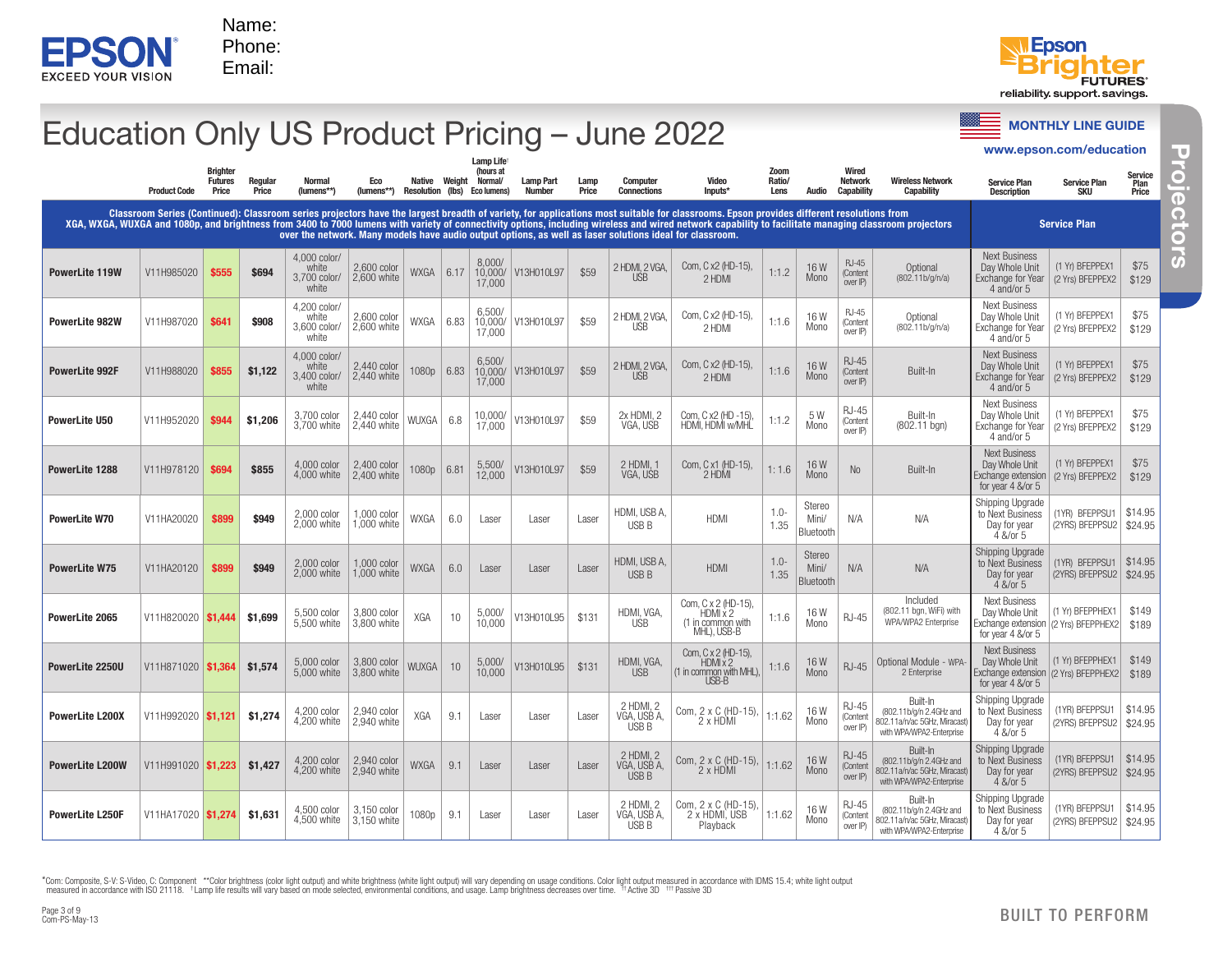



### **EPSONT** Promote with ISO 21118. Frontier in accordance with ISO 21118. For example results will vary based on mode selected the conditions with  $\frac{\sqrt{2}}{\sqrt{2}}$  and  $\frac{\sqrt{2}}{\sqrt{2}}$  and  $\frac{\sqrt{2}}{\sqrt{2}}$   $\frac{\sqrt{2}}{\sqrt{2}}$  and  $\frac{\$ **Education Only US Product Pricing – June 2022** Service Constructing and Constructing Guide Construction www.epson.com/education **Projectors** TU. Lamp Life† 5 Zoom Wired **Brighter** (hours at Service **Futures** Regular Normal Eco Normal/ Lamp Part Lamp **Computer** Video Ratio/<br>Lens Network Wireless Network<br>Canability Service Plan Native Weight Plan Capability Service Plan Description Product Code Price Price (lumens\*\*) (lumens\*\*) **Number** Price **Connections Innute Audio** Canability Resolution (lbs) Eco lumens) SKU Price **Projectors** Φ Classroom Series (Continued): Classroom series projectors have the largest breadth of variety, for applications most suitable for classrooms. Epson provides different resolutions from Q XGA, WXGA, WUXGA and 1080p, and brightness from 3400 to 7000 lumens with variety of connectivity options, including wireless and wired network capability to facilitate managing classroom projectors Service Plan ō over the network. Many models have audio output options, as well as laser solutions ideal for classroom. 4,000 color/ Next Business 8,000/ RJ-45 U) 2,600 color V13H010L97 \$59 2 HDMI, 2 VGA, Com, C x2 (HD-15), 1:1.2 16 W<br>2 HDMI 1:1.2 Mono 16W<br>Mono Day Whole Unit (1 Yr) BFEPPEX1 \$75 white Optional **PowerLite 119W** | V11H985020 | \$555 | \$694  $2,600$  COIOF WXGA 6.17 10,000/ (Content 3,700 color/ USB (802.11b/g/n/a) Exchange for Year (2 Yrs) BFEPPEX2 \$129 17,000 over IP) white 4 and/or 5 Next Business 4,200 color/ RJ-45 6,500/ 10,000/ (1 Yr) BFEPPEX1 \$75 white 2,600 color  $V13H010L97$  \$59 2 HDML2 VGA, Com, C x2 (HD-15), 1:1.6 16 W<br>2 HDMI 2 HDMI Mono **Optional** Day Whole Unit **PowerLite 982W | V11H987020 \$641 | \$908**  $2,600$  color WXGA 6.83 (Content 3,600 color/ USB Mono (802.11b/g/n/a) Exchange for Year (2 Yrs) BFEPPEX2 \$129 17,000 over IP) white 4 and/or 5 4,000 color/ Next Business 6,500/ RJ-45 (1 Yr) BFEPPEX1 \$75 2,440 color<br>2,440 white V13H010L97 \$59 2 HDMI, 2 VGA, Com, C x2 (HD-15), 1:1.6 16 W<br>2 HDMI 1:1.6 Mono Day Whole Unit white **PowerLite 992F** | V11H988020 | \$855 | \$1,122 1080p 6.83 10,000/ (Content Built-In 3,400 color/ USB Mono Exchange for Year (2 Yrs) BFEPPEX2 \$129 17,000 over IP) white 4 and/or 5 Next Business RJ-45 \$75 **PowerLite U50** V11H952020 \$944 \$1,206 3,700 color V13H010L97 \$59 2x HDMI, 2 (1 Yr) BFEPPEX1  $2,440$  color WUXGA 6.8 10,000/<br>2.440 white WUXGA 6.8 17,000 2,440 color Com, C x2 (HD -15),  $\begin{array}{|c|c|c|c|c|c|c|c|} \hline & 5 & W \ \hline \text{HDMI, HDMI} & \text{W/MHL} & 1:1.2 & \text{Monc} \ \hline \end{array}$ Com, C x2 (HD -15), Built-In Day Whole Unit (Content 3,700 white VGA, USB Mono (802.11 bgn) Exchange for Year (2 Yrs) BFEPPEX2 \$129 over IP) 4 and/or 5 Next Business 2,400 color 2,400 color 1080p 6.81 5,500/<br>2,400 white 1080p 6.81 12,000 Day Whole Unit (1 Yr) BFEPPEX1 \$75 **PowerLite 1288** V11H978120  $\frac{694}{1000}$   $\frac{14,000}{4,000}$  color 12,000 V13H010L97 \$59 2 HDMI, 1 VGA, USB Com, C x1 (HD-15), 1: 1.6 16 W<br>2 HDMI 1: 1.6 Mono 16 W No Built-In 4,000 white Exchange extension (2 Yrs) BFEPPEX2 \$129 for year 4 &/or 5 Shipping Upgrade **Stereo** (1YR) BFEPPSU1 \$14.95 1,000 color 1,000 color | WXGA  $\begin{array}{|c|c|c|c|c|c|c|c|c|c|c|c|}\n\hline\n1,000 white | WXGA  $\begin{array}{|c|c|c|c|c|c|c|c|c|}\n\hline\n1,000 & \text{white} & \text{WXGA} & 6.0 & \text{Laser} & \text{Laser} & \text{Laser} & \text{USB B}\n\end{array}$$ USB B HDMI 1.0- **PowerLite W70** V11HA20020 **\$899 \$949** 2,000 color to Next Business Mini/ N/A N/A 2,000 white Day for year (2YRS) BFEPPSU2 \$24.95 1.35 Bluetooth 4 &/or 5 Shipping Upgrade Stereo **PowerLite W75** V11HA20120 **\$899 \$949** 2,000 color 1,000 color  $1,000$  color WXGA 6.0 Laser Laser Laser HDMI, USB A,  $1,000$  white WXGA 6.0 USB B HDMI 1.0 to Next Business (1YR) BFEPPSU1 \$14.95 Mini/  $N/A$   $N/A$ 2,000 white 1.35 Day for year (2YRS) BFEPPSU2 \$24.95 **Bluetooth** 4 &/or 5 Included Com, C x 2 (HD-15),<br>HDMI x 2 Next Business **PowerLite 2065** V11H820020 **\$1,444 \$1,699** 5,500 color 3,800 color V13H010L95 \$131 HDMI, VGA, (802.11 bgn, WiFi) with (1 Yr) BFEPPHEX1 \$149  $3,800$  color  $\begin{array}{|c|c|c|c|c|} \hline 3,800$  white  $\hline \end{array}$  XGA 10  $\begin{array}{|c|c|c|c|c|} \hline 5,000/10,000 \hline \end{array}$ 1:1.6  $16 W$ <br>Mono Day Whole Unit RJ-45 5,500 white USB (1 in common with MHL), USB-B WPA/WPA2 Enterprise Exchange extension (2 Yrs) BFEPPHEX2 \$189 for year 4 &/or 5 Next Business Com, C x 2 (HD-15), HDMI x 2 **PowerLite 2250U** V11H871020  $\textbf{\$1.364}$   $\textbf{\$1.574}$  5,000 color 3,800 color 3,800 color | WUXGA | 10 | 5,000/<br>3,800 white | WUXGA | 10 | 10,000 V13H010L95 \$131 HDMI, VGA, 1:1.6  $16 W$ <br>Mono Day Whole Unit (1 Yr) BFEPPHEX1 \$149  $RJ-45$  Optional Module - WPA- $(1 \text{ in common with MHL}),$ <br> $I$  ISB-B 5,000 white USB 2 Enterprise Exchange extension (2 Yrs) BFEPPHEX2 \$189 for year 4 &/or 5 Shipping Upgrade Built-In 2 HDMI, 2 RJ-45 \$14.95 **PowerLite L200X** V11H992020  $\frac{1}{1}$ ,121  $\frac{1}{2}$ ,274  $\frac{4,200 \text{ color}}{4,200 \text{ white}}$ 2,940 color (802.11b/g/n 2.4GHz and to Next Business (1YR) BFEPPSU1 Com, 2 x C (HD-15),  $\begin{vmatrix} 1:1.62 \\ Mono \end{vmatrix}$  16 W  $2,940$  COIOT XGA 9.1 Laser Laser Laser Laser VGA, USB A, (Content 4,200 white Mono 802.11a/n/ac 5GHz, Miracast) Day for year (2YRS) BFEPPSU2 \$24.95 USB B over IP) with WPA/WPA2-Enterprise 4 &/or 5 Shipping Upgrade Built-In 2 HDMI, 2 RJ-45 (1YR) BFEPPSU1 \$14.95 **PowerLite L200W** V11H991020  $\frac{\text{S1.223}}{\text{S1.427}}$   $\frac{4,200 \text{ color}}{4,200 \text{ color}}$ 2,940 color (802.11b/g/n 2.4GHz and to Next Business Com, 2 x C (HD-15), 1:1.62 16 W<br>2 x HDMI 2000  $2,940$  COIOF WXGA 9.1 Laser Laser Laser Laser VGA, USB A, (Content Mono 4,200 white 802.11a/n/ac 5GHz, Miracast) Day for year (2YRS) BFEPPSU2 \$24.95 USB B over IP) with WPA/WPA2-Enterprise 4 &/or 5 Shipping Upgrade Built-In 2 HDMI, 2 Com, 2 x C (HD-15), RJ-45 **PowerLite L250F** V11HA17020  $\frac{1}{10}$  \$1,274 \$1,631 4,500 color 3,150 color<br>3.150 white 1:1.62  $16W$ (802.11b/g/n 2.4GHz and to Next Business (1YR) BFEPPSU1 \$14.95 3,150 white 1080p 9.1 Laser Laser Laser VGA, USB A, 2 x HDMI, USB (Content 4,500 white Mono 802.11a/n/ac 5GHz, Miracast) Day for year (2YRS) BFEPPSU2 \$24.95 USB B Playback  $W^{\text{per}}$  IP with WPA/WPA2-Enterprise 4 &/or 5

\*Com: Composite, S-V: S-Video, C: Component \*\*Color brightness (color light output) and white brightness (white light output) will vary depending on usage conditions. Color light output measured in accordance with IDMS 15.

Com-PS-May-13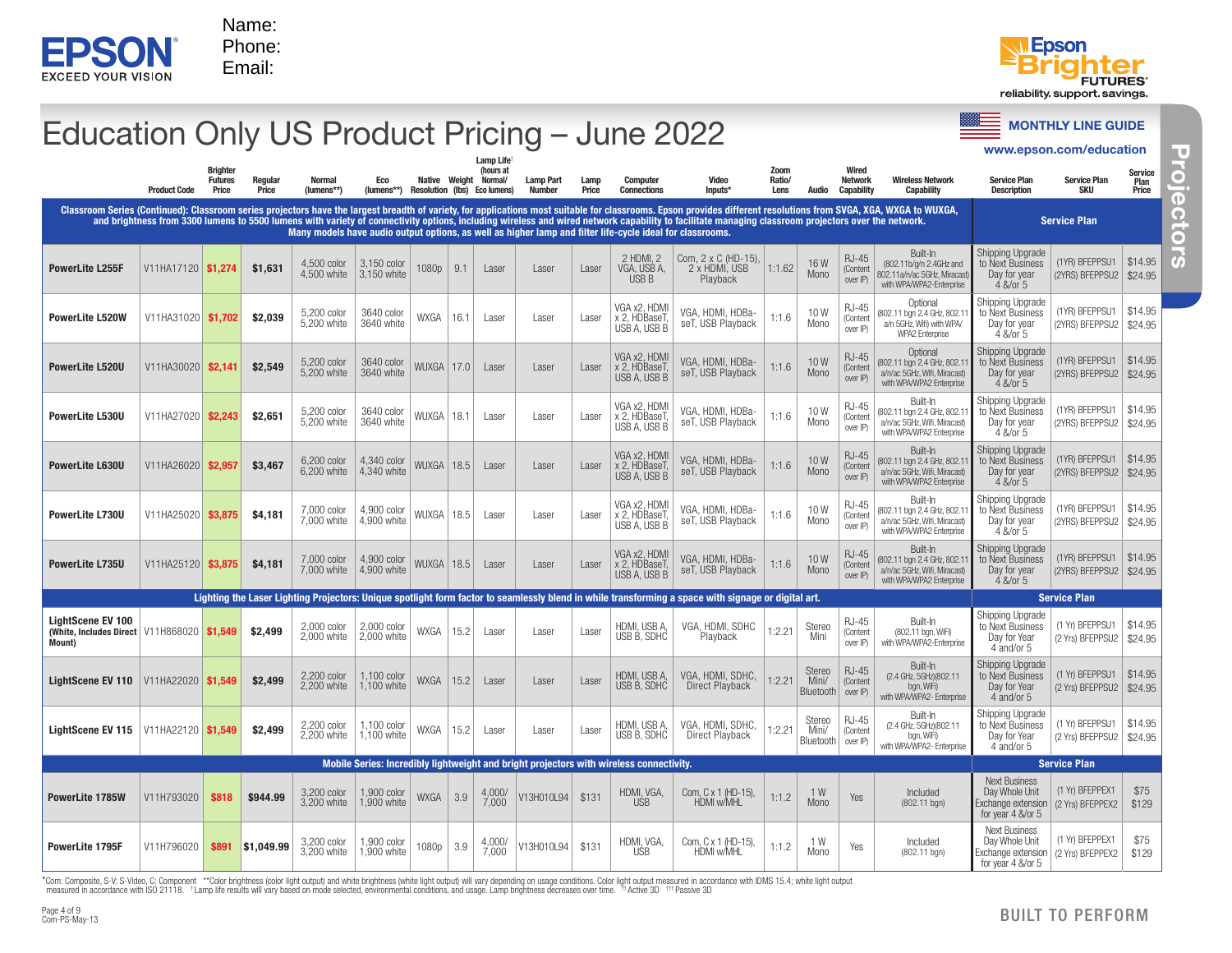



### **EPSONT** Promote with ISO 21118. Frontier in accordance with ISO 21118. For example of the mode selected and the mode selected and use of the mode selected and the mode selected and the mode selected  $\frac{1}{2}$   $\frac{1}{2}$  **Education Only US Product Pricing – June 2022** Service Constructing and Constructing Guide Construction www.epson.com/education **Projectors** TU, Lamp Life†  $\overline{\overline{6}}$ **Brighter** Zoom Wired (hours at Normal/ Service Futures Regular Normal Eco Lamp Part Lamp **Computer** Video Ratio/ Network Wireless Network Service Plan Native Weight Service Plan Plan Product Code Price Price (lumens\*\*) (lumens\*\*) Resolution (lbs) Eco lumens) Number Price **Connections** Inputs\* **Audio Capability Capability Description** SKU Price **Projectors** Φ Classroom Series (Continued): Classroom series projectors have the largest breadth of variety, for applications most suitable for classrooms. Epson provides different resolutions from SVGA, XGA, WXGA to WUXGA,<br>and brightne Q Service Plan ā Many models have audio output options, as well as higher lamp and filter life-cycle ideal for classrooms. Shipping Upgrade Built-In 2 HDMI, 2 Com, 2 x C (HD-15), RJ-45 3,150 color<br>3.150 white (1YR) BFEPPSU1 \$14.95 Œ **PowerLite L255F**  $\begin{array}{|c|c|c|c|c|}\n\hline\n\end{array}$  V11HA17120  $\begin{array}{|c|c|c|c|}\n\hline\n\end{array}$ \$1,631  $\begin{array}{|c|c|c|c|}\n\hline\n\end{array}$  4,500 color 1:1.62 16 W (802.11b/g/n 2.4GHz and to Next Business VGA, USB A,  $3,150$  white  $1080p \mid 9.1$  Laser Laser Laser 2 x HDMI, USB (Content 4,500 white Mono Day for year 802.11a/n/ac 5GHz, Miracast) (2YRS) BFEPPSU2 \$24.95 USB B Playback .<br>over IP) with WPA/WPA2-Fnterprise 4 &/or 5 Shipping Upgrade Optional VGA x2, HDMI RJ-45 to Next Business (1YR) BFEPPSU1 \$14.95 5,200 white 3640 color VGA, HDMI, HDBa-  $\vert$  1:1.6  $\vert$  10 W<br>seT, USB Playback 1:1.6 Mono (802.11 bgn 2.4 GHz, 802.11 **PowerLite L520W** | V11HA31020 **\$1,702 \$2,039** 3640 white WXGA 16.1 Laser Laser Laser x 2. HDBaseT (Content Mono a/n 5GHz, Wifi) with WPA/ Day for year (2YRS) BFEPPSU2 \$24.95 USB A, USB B over IP) WPA2 Enterprise 4 &/or 5 Optional Shipping Upgrade VGA x2, HDMI RJ-45 (1YR) BFEPPSU1 \$14.95 5,200 color<br>5,200 white VGA, HDMI, HDBa-  $\vert$  1:1.6  $\vert$  10 W<br>seT, USB Playback 1:1.6 Mono (802.11 bgn 2.4 GHz, 802.11 to Next Business 3640 color **PowerLite L520U** V11HA30020 **\$2.141** \$2.549  $\frac{3640 \text{ color}}{3640 \text{ white}}$  WUXGA 17.0 Laser Laser Laser Laser x 2, HDBaseT, (Content M<sub>ono</sub> a/n/ac 5GHz, Wifi, Miracast) Day for year (2YRS) BFEPPSU2 \$24.95 USB A, USB B over IP) with WPA/WPA2 Enterprise 4 &/or 5 Built-In Shipping Upgrade VGA x2, HDMI RJ-45 VGA, HDMI, HDBa-  $\vert$  1:1.6  $\vert$  10 W<br>seT, USB Playback 1:1.6 Mono (1YR) BFEPPSU1 \$14.95 **PowerLite L530U** V11HA27020  $\overline{$2.243}$   $\overline{$2.651}$  5,200 color 3640 color (802.11 bgn 2.4 GHz, 802.11 to Next Business  $3640$  color WUXGA 18.1 Laser Laser Laser Laser x 2, HDBaseT, (Content 5,200 white Mono a/n/ac 5GHz, Wifi, Miracast) Day for year USB A, USB B (2YRS) BFEPPSU2 \$24.95 over IP) with WPA/WPA2 Enterprise 4 &/or 5 Built-In Shipping Upgrade VGA x2, HDMI RJ-45 (1YR) BFEPPSU1 \$14.95 **PowerLite L630U** V11HA26020  $\frac{1}{22,957}$  \$3,467 6,200 color 4,340 color VGA, HDMI, HDBa- 1:1.6 10 W<br>seT, USB Playback 1:1.6 Mono (802.11 bgn 2.4 GHz, 802.11) to Next Business 4,340 COIOT WUXGA 18.5 Laser Laser Laser Laser x 2, HDBaseT (Content 6,200 white Mono a/n/ac 5GHz, Wifi, Miracast) Day for year (2YRS) BFEPPSU2 \$24.95 USB A, USB B over IP) with WPA/WPA2 Enterprise 4 &/or 5 Built-In Shipping Upgrade VGA x2, HDMI RJ-45 (1YR) BFEPPSU1 \$14.95 VGA, HDMI, HDBa-  $\vert$  1:1.6  $\vert$  10 W<br>seT, USB Playback 1:1.6 Mono to Next Business **PowerLite L730U** V11HA25020  $\frac{1}{33,875}$  \$4,181  $\frac{7,000}{7,000}$  white 4,900 color (802.11 bgn 2.4 GHz, 802.11  $4,900$   $\frac{4,900}{2}$  WUXGA 18.5 Laser Laser Laser Laser x 2 HDBaseT (Content 7,000 white Mono a/n/ac 5GHz, Wifi, Miracast) Day for year (2YRS) BFEPPSU2 \$24.95 USB A, USB B over IP) with WPA/WPA2 Enterprise 4 &/or 5 Shipping Upgrade Built-In RJ-45 VGA x2, HDMI \$14.95 4,900 color VGA, HDMI, HDBa-  $\begin{array}{|c|c|c|c|c|c|c|c|} \hline 1.1.6 & 10 \text{ W} \\ \hline \text{seT, USB Playback} & 1:1.6 & \text{Mono} \end{array}$ to Next Business (1YR) BFEPPSU1 7,000 color<br>7,000 white (802.11 hgn 2.4 GHz, 802.11 **PowerLite L735U** V11HA25120 **\$3.875 \$4.181** x 2, HDBaseT, (Content  $4,900$   $600$  white WUXGA 18.5 Laser Laser Laser Laser Mono a/n/ac 5GHz, Wifi, Miracast) Day for year (2YRS) BFEPPSU2 \$24.95 USB A, USB B over IP) with WPA/WPA2 Enterprise 4 &/or 5 Lighting the Laser Lighting Projectors: Unique spotlight form factor to seamlessly blend in while transforming a space with signage or digital art. Service Plan Shipping Upgrade LightScene EV 100 RJ-45 Built-In 2,000 color<br>2,000 white to Next Business (1 Yr) BFEPPSU1 \$14.95 **Cright Scene EV Too**<br>(White, Includes Direct V11H868020  $\frac{1}{100}$  \$1,549  $\frac{2,000}{2,000}$  white 2,000 color | WXGA | 15.2 | Laser | Laser | Laser | HDMI, USB A,<br>2,000 white | WXGA | 15.2 | Laser | Laser | Laser | USB B, SDHC VGA, HDMI, SDHC | 1:2.21 | Stereo<br>Playback | 1:2.21 | Mini (802.11 bgn, WiFi) (Content Mini 2,000 white USB B, SDHC Day for Year (2 Yrs) BFEPPSU2 \$24.95 over IP) with WPA/WPA2-Fnterprise Mount) 4 and/or 5 Built-In Shipping Upgrade Stereo RJ-45 (1 Yr) BFEPPSU1 \$14.95 **LightScene EV 110** V11HA22020  $\frac{1}{10}$  \$1,549 \$2,499  $\frac{2,200 \text{ color}}{2,200 \text{ white}}$ 1,100 color VGA, HDMI, SDHC, (2.4 GHz, 5GHz)(802.11 to Next Business  $1,100$  color | WXGA  $\vert 15.2 \vert$  Laser | Laser | Laser | HDMI, USB A, SDHC OR, FIDIVII, SDHU, 1:2.21<br>Direct Playback 1:2.21 Mini/ (Content USB B, SDHC 2,200 white bgn, WiFi) Day for Year (2 Yrs) BFEPPSU2 \$24.95 Bluetooth over IP) with WPA/WPA2- Enterprise 4 and/or 5 Shipping Upgrade Built-In Stereo RJ-45 (1 Yr) BFEPPSU1 VGA, HDMI, SDHC, \$14.95 **LightScene EV 115** V11HA22120  $\frac{1}{1}$  \$1.549  $\frac{1}{2}$  \$2.499  $\frac{2,200 \text{ color}}{2,200 \text{ color}}$ 1,100 color | WXGA | 15.2 | Laser | Laser | Laser | HDMI, USB A,<br>1,100 white | WXGA | 15.2 | Laser | Laser | Laser | USB B, SDHC 1,100 color (2.4 GHz, 5GHz)(802.11 to Next Business GA, HDMI, SDHC, 1:2.21<br>Direct Playback 1:2.21 Mini/ (Content 2,200 white USB B, SDHC bgn, WiFi) Day for Year (2 Yrs) BFEPPSU2 \$24.95 **Bluetooth** over IP) with WPA/WPA2- Enterprise 4 and/or 5 Mobile Series: Incredibly lightweight and bright projectors with wireless connectivity. Service Plan Service Plan Next Business (1 Yr) BFEPPEX1 \$75 **PowerLite 1785W** V11H793020  $\overline{\textbf{0}}$  \$818  $\overline{\textbf{0}}$  \$944.99  $\overline{\textbf{0}}$  3,200 color 1,900 color | WXGA | 3.9 | 4,000/<br>1.900 white | WXGA | 3.9 | 7,000 1,900 color V13H010L94 \$131 HDMI, VGA, Day Whole Unit Com, C x 1 (HD-15), | 1:1.2 | 1 W<br>HDMI w/MHL 1:1.2 | Mono Mono Yes Included (802.11 bgn) 3,200 white USB Exchange extension (2 Yrs) BFEPPEX2 \$129 for year 4 &/or 5 Next Business (1 Yr) BFEPPEX1 \$75 **PowerLite 1795F**  $\begin{array}{|l|l|}\n\hline\n\end{array} 1111796020 & $3,200 \text{ color}$ 1,900 color  $1080p \mid 3.9 \mid \frac{4,000p}{7,000}$ V13H010L94 \$131 HDMI, VGA, Com, C x 1 (HD-15), | 1:1.2 | 1 W<br>HDMI w/MHL | 1:1.2 | Mono 1 W | Yes | Included<br>Mono | Yes | (802.11 bgn) Day Whole Unit USB Exchange extension (2 Yrs) BFEPPEX2 \$129 for year 4 &/or 5  $B$ ali $4 \infty$ 015

\*Com: Composite, S-V: S-Video, C: Component \*\*Color brightness (color light output) and white brightness (white light output) will vary depending on usage conditions. Color light output measured in accordance with IDMS 15.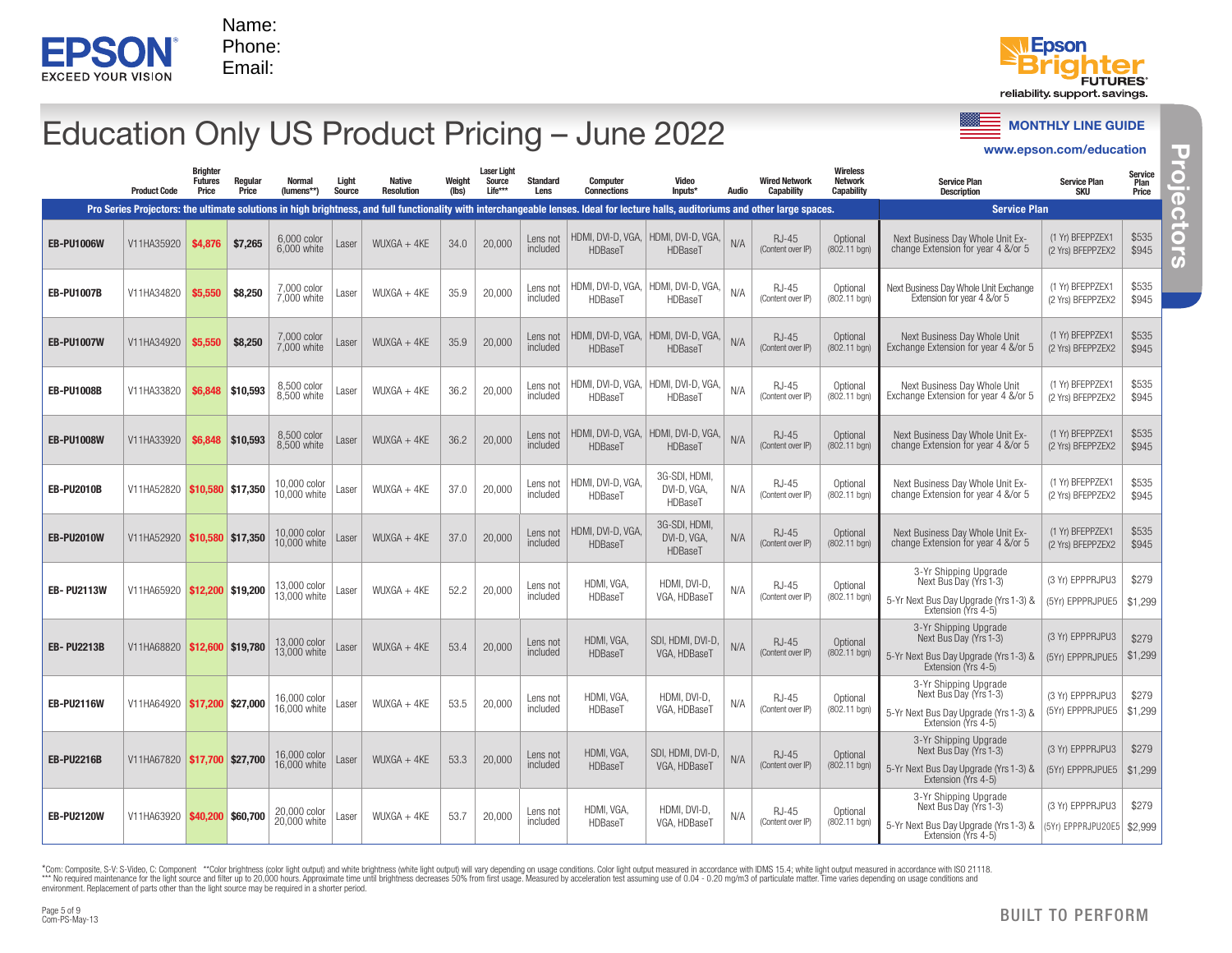



### Education Only US Product Pricing – June 2022

| EPS<br>EXCEED YOUR VISION                                                                          |                                  |                                            | Name:<br>Phone:<br>Email: |                              |                 |                                    |                 |                                         |                         |                                                                                                                                                                                                                             |                                                         |       |                                    |                                          |                                                                                                                                                                                                                                                                                                                                                                                                                                                                  | <b>Epson</b><br><b>FUTURES</b><br>reliability support savings. |                                |
|----------------------------------------------------------------------------------------------------|----------------------------------|--------------------------------------------|---------------------------|------------------------------|-----------------|------------------------------------|-----------------|-----------------------------------------|-------------------------|-----------------------------------------------------------------------------------------------------------------------------------------------------------------------------------------------------------------------------|---------------------------------------------------------|-------|------------------------------------|------------------------------------------|------------------------------------------------------------------------------------------------------------------------------------------------------------------------------------------------------------------------------------------------------------------------------------------------------------------------------------------------------------------------------------------------------------------------------------------------------------------|----------------------------------------------------------------|--------------------------------|
|                                                                                                    |                                  |                                            |                           |                              |                 |                                    |                 |                                         |                         | Education Only US Product Pricing - June 2022                                                                                                                                                                               |                                                         |       |                                    |                                          |                                                                                                                                                                                                                                                                                                                                                                                                                                                                  | <b>MONTHLY LINE GUIDE</b><br>www.epson.com/education           |                                |
|                                                                                                    | <b>Product Code</b>              | <b>Brighter</b><br><b>Futures</b><br>Price | Regular<br>Price          | <b>Normal</b><br>(lumens**)  | Light<br>Source | <b>Native</b><br><b>Resolution</b> | Weight<br>(lbs) | <b>Laser Light</b><br>Source<br>Life*** | <b>Standard</b><br>Lens | <b>Computer</b><br><b>Connections</b><br>Pro Series Projectors: the ultimate solutions in high brightness, and full functionality with interchangeable lenses. Ideal for lecture halls, auditoriums and other large spaces. | Video<br>Inputs*                                        | Audio | <b>Wired Network</b><br>Capability | Wireless<br><b>Network</b><br>Capability | <b>Service Plan</b><br><b>Description</b><br><b>Service Plan</b>                                                                                                                                                                                                                                                                                                                                                                                                 | <b>Service Plan</b><br><b>SKU</b>                              | Service<br>Plan<br>Price       |
| <b>EB-PU1006W</b>                                                                                  | V11HA35920                       | \$4,876                                    | \$7,265                   | 6,000 color<br>6,000 white   | Laser           | $WUXGA + 4KE$                      | 34.0            | 20,000                                  | Lens not<br>included    | HDBaseT                                                                                                                                                                                                                     | HDMI, DVI-D, VGA,   HDMI, DVI-D, VGA,<br><b>HDBaseT</b> | N/A   | RJ-45<br>(Content over IP)         | Optional<br>(802.11 bgn)                 | Next Business Day Whole Unit Ex-<br>change Extension for year 4 &/or 5                                                                                                                                                                                                                                                                                                                                                                                           | (1 Yr) BFEPPZEX1<br>(2 Yrs) BFEPPZEX2                          | \$535<br>\$945                 |
| <b>EB-PU1007B</b>                                                                                  | V11HA34820                       | \$5,550                                    | \$8,250                   | 7,000 color<br>7.000 white   | Laser           | $WUXGA + 4KE$                      | 35.9            | 20,000                                  | Lens not<br>included    | <b>HDBaseT</b>                                                                                                                                                                                                              | HDMI, DVI-D, VGA,   HDMI, DVI-D, VGA,<br>HDBaseT        | N/A   | RJ-45<br>(Content over IP)         | Optional<br>(802.11 bgn)                 | Next Business Day Whole Unit Exchange<br>Extension for year 4 &/or 5                                                                                                                                                                                                                                                                                                                                                                                             | (1 Yr) BFEPPZEX1<br>(2 Yrs) BFEPPZEX2                          | \$535<br>\$945                 |
| <b>EB-PU1007W</b>                                                                                  | V11HA34920                       | \$5,550                                    | \$8,250                   | 7,000 color<br>7.000 white   | Laser           | $WUXGA + 4KE$                      | 35.9            | 20,000                                  | Lens not<br>included    | HDBaseT                                                                                                                                                                                                                     | HDMI, DVI-D, VGA,   HDMI, DVI-D, VGA,<br>HDBaseT        | N/A   | RJ-45<br>(Content over IP)         | Optional<br>(802.11 bgn)                 | Next Business Day Whole Unit<br>Exchange Extension for year 4 &/or 5                                                                                                                                                                                                                                                                                                                                                                                             | (1 Yr) BFEPPZEX1<br>(2 Yrs) BFEPPZEX2                          | \$535<br>\$945                 |
| <b>EB-PU1008B</b>                                                                                  | V11HA33820                       | \$6,848                                    | \$10,593                  | 8,500 color<br>8.500 white   | Laser           | $WUXGA + 4KE$                      | 36.2            | 20,000                                  | Lens not<br>included    | HDMI, DVI-D, VGA,<br><b>HDBaseT</b>                                                                                                                                                                                         | HDMI, DVI-D, VGA,<br>HDBaseT                            | N/A   | RJ-45<br>(Content over IP)         | Optional<br>(802.11 bgn)                 | Next Business Day Whole Unit<br>Exchange Extension for year 4 &/or 5                                                                                                                                                                                                                                                                                                                                                                                             | (1 Yr) BFEPPZEX1<br>(2 Yrs) BFEPPZEX2                          | \$535<br>\$945                 |
| <b>EB-PU1008W</b>                                                                                  | V11HA33920                       | \$6,848                                    | \$10,593                  | 8,500 color<br>8,500 white   | Laser           | $WUXGA + 4KE$                      | 36.2            | 20,000                                  | Lens not<br>included    | HDBaseT                                                                                                                                                                                                                     | HDMI, DVI-D, VGA,   HDMI, DVI-D, VGA,<br>HDBaseT        | N/A   | <b>RJ-45</b><br>(Content over IP)  | Optional<br>(802.11 bgn)                 | Next Business Day Whole Unit Ex-<br>change Extension for year 4 &/or 5                                                                                                                                                                                                                                                                                                                                                                                           | (1 Yr) BFEPPZEX1<br>(2 Yrs) BFEPPZEX2                          | \$535<br>\$945                 |
| <b>EB-PU2010B</b>                                                                                  | V11HA52820                       | $ $10,580$ \$17,350                        |                           | 10,000 color<br>10.000 white | Laser           | $WUXGA + 4KE$                      | 37.0            | 20,000                                  | Lens not<br>included    | HDMI, DVI-D, VGA.<br>HDBaseT                                                                                                                                                                                                | 3G-SDI, HDMI,<br>DVI-D, VGA,<br>HDBaseT                 | N/A   | RJ-45<br>(Content over IP)         | Optional<br>(802.11 bgn)                 | Next Business Day Whole Unit Ex-<br>change Extension for year 4 &/or 5                                                                                                                                                                                                                                                                                                                                                                                           | (1 Yr) BFEPPZEX1<br>(2 Yrs) BFEPPZEX2                          | \$535<br>\$945                 |
| <b>EB-PU2010W</b>                                                                                  | V11HA52920   \$10,580            |                                            | \$17,350                  | 10,000 color<br>0.000 white  | Laser           | $WUXGA + 4KE$                      | 37.0            | 20,000                                  | Lens not<br>included    | HDMI, DVI-D, VGA,<br>HDBaseT                                                                                                                                                                                                | 3G-SDI, HDMI,<br>DVI-D, VGA,<br>HDBaseT                 | N/A   | RJ-45<br>(Content over IP)         | Optional<br>(802.11 bgn)                 | Next Business Day Whole Unit Ex-<br>change Extension for year 4 &/or 5                                                                                                                                                                                                                                                                                                                                                                                           | (1 Yr) BFEPPZEX1<br>(2 Yrs) BFEPPZEX2                          | \$535<br>\$945                 |
| <b>EB-PU2113W</b>                                                                                  | V11HA65920   \$12,200   \$19,200 |                                            |                           | 13,000 color<br>3.000 white  | Laser           | $WUXGA + 4KE$                      | 52.2            | 20,000                                  | Lens not<br>included    | HDMI, VGA<br>HDBaseT                                                                                                                                                                                                        | HDMI, DVI-D,<br>VGA, HDBaseT                            | N/A   | RJ-45<br>(Content over IP)         | Optional<br>(802.11 bgn)                 | 3-Yr Shipping Upgrade<br>Next Bus Day (Yrs 1-3)<br>5-Yr Next Bus Day Upgrade (Yrs 1-3) &<br>Extension (Yrs 4-5)                                                                                                                                                                                                                                                                                                                                                  | (3 Yr) EPPPRJPU3<br>(5Yr) EPPPRJPUE5                           | \$279<br>$\frac{1}{2}$ \$1,299 |
| <b>EB-PU2213B</b>                                                                                  | V11HA68820   \$12,600   \$19,780 |                                            |                           | 13,000 color<br>13,000 white | Laser           | $WUXGA + 4KE$                      | 53.4            | 20,000                                  | Lens not<br>included    | HDMI, VGA,<br>HDBaseT                                                                                                                                                                                                       | SDI, HDMI, DVI-D.<br>VGA, HDBaseT                       | N/A   | RJ-45<br>(Content over IP)         | Optional<br>(802.11 bgn)                 | 3-Yr Shipping Upgrade<br>Next Bus Day (Yrs 1-3)<br>5-Yr Next Bus Day Upgrade (Yrs 1-3) &<br>Extension (Yrs 4-5)                                                                                                                                                                                                                                                                                                                                                  | (3 Yr) EPPPRJPU3<br>(5Yr) EPPPRJPUE5                           | \$279<br>\$1,299               |
| <b>EB-PU2116W</b>                                                                                  | V11HA64920   \$17.200   \$27.000 |                                            |                           | 16,000 color<br>16.000 white | Laser           | $WUXGA + 4KE$                      | 53.5            | 20,000                                  | Lens not<br>included    | HDMI, VGA<br>HDBaseT                                                                                                                                                                                                        | HDMI, DVI-D,<br>VGA, HDBaseT                            | N/A   | RJ-45<br>(Content over IP)         | Optional<br>(802.11 bgn)                 | 3-Yr Shipping Upgrade<br>Next Bus Day (Yrs 1-3)<br>5-Yr Next Bus Day Upgrade (Yrs 1-3) &<br>Extension (Yrs 4-5)                                                                                                                                                                                                                                                                                                                                                  | (3 Yr) EPPPRJPU3<br>(5Yr) EPPPRJPUE5                           | \$279<br>\$1,299               |
| <b>EB-PU2216B</b>                                                                                  | V11HA67820   \$17,700   \$27,700 |                                            |                           | 16,000 color<br>16,000 white | Laser           | $WUXGA + 4KE$                      | 53.3            | 20,000                                  | Lens not<br>included    | HDMI, VGA,<br>HDBaseT                                                                                                                                                                                                       | SDI, HDMI, DVI-D,<br>VGA, HDBaseT                       | N/A   | RJ-45<br>(Content over IP)         | Optional<br>(802.11 bgn)                 | 3-Yr Shipping Upgrade<br>Next Bus Day (Yrs 1-3)<br>5-Yr Next Bus Day Upgrade (Yrs 1-3) &                                                                                                                                                                                                                                                                                                                                                                         | (3 Yr) EPPPRJPU3<br>(5Yr) EPPPRJPUE5   \$1,299                 | \$279                          |
| <b>EB-PU2120W</b>                                                                                  | V11HA63920   \$40,200   \$60,700 |                                            |                           | 20,000 color<br>20,000 white | Laser           | $WUXGA + 4KE$                      | 53.7            | 20,000                                  | Lens not<br>included    | HDMI, VGA,<br>HDBaseT                                                                                                                                                                                                       | HDMI, DVI-D,<br>VGA. HDBaseT                            | N/A   | RJ-45<br>(Content over IP)         | Optional<br>(802.11 bgn)                 | Extension (Yrs 4-5)<br>3-Yr Shipping Upgrade<br>Next Bus Day (Yrs 1-3)<br>5-Yr Next Bus Day Upgrade (Yrs 1-3) &<br>Extension (Yrs 4-5)                                                                                                                                                                                                                                                                                                                           | (3 Yr) EPPPRJPU3<br>(5Yr) EPPPRJPU20E5   \$2,999               | \$279                          |
| environment. Replacement of parts other than the light source may be required in a shorter period. |                                  |                                            |                           |                              |                 |                                    |                 |                                         |                         |                                                                                                                                                                                                                             |                                                         |       |                                    |                                          | *Com: Composite, S-V: S-Video, C: Component **Color brightness (color light output) and white brightness (white light output) will vary depending on usage conditions. Color light output measured in accordance with IBMS 15.<br>*** No required maintenance for the light source and filter up to 20,000 hours. Approximate time until brightness decreases 50% from first usage. Measured by acceleration test assuming use of 0.04 - 0.20 mg/m3 of particula |                                                                |                                |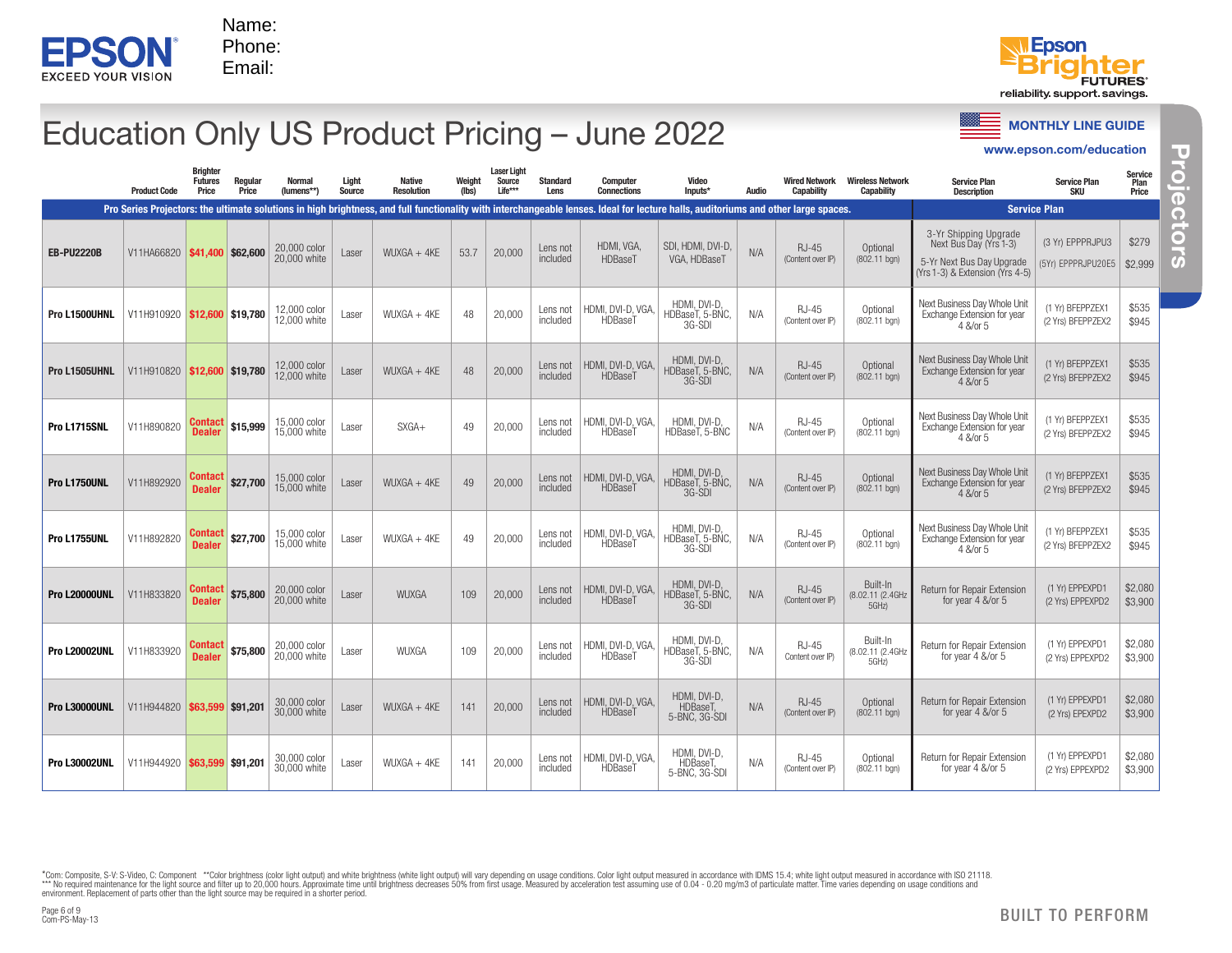



### Education Only US Product Pricing – June 2022

|                      |                                  |                                     |                  |                              |                 |                                    |                 |                                         |                         | Education Only US Product Pricing - June 2022                                                                                                                                                               |                                           |       |                                    |                                              |                                                                                                                 | <b>MONTHLY LINE GUIDE</b><br>www.epson.com/education                    |                          |
|----------------------|----------------------------------|-------------------------------------|------------------|------------------------------|-----------------|------------------------------------|-----------------|-----------------------------------------|-------------------------|-------------------------------------------------------------------------------------------------------------------------------------------------------------------------------------------------------------|-------------------------------------------|-------|------------------------------------|----------------------------------------------|-----------------------------------------------------------------------------------------------------------------|-------------------------------------------------------------------------|--------------------------|
|                      | <b>Product Code</b>              | Brighter<br><b>Futures</b><br>Price | Regular<br>Price | <b>Normal</b><br>(lumens**)  | Light<br>Source | <b>Native</b><br><b>Resolution</b> | Weight<br>(lbs) | <b>Laser Light</b><br>Source<br>Life*** | <b>Standard</b><br>Lens | Computer<br><b>Connections</b>                                                                                                                                                                              | Video<br>Inputs*                          | Audio | <b>Wired Network</b><br>Capability | <b>Wireless Network</b><br><b>Capability</b> | <b>Service Plan</b><br><b>Description</b>                                                                       | <b>Service Plan</b><br><b>SKU</b>                                       | Service<br>Plan<br>Price |
| <b>EB-PU2220B</b>    | V11HA66820   \$41,400   \$62,600 |                                     |                  | 20,000 color<br>20,000 white | Laser           | $WUXGA + 4KE$                      | 53.7            | 20,000                                  | Lens not<br>included    | Pro Series Projectors: the ultimate solutions in high brightness, and full functionality with interchangeable lenses. Ideal for lecture halls, auditoriums and other large spaces.<br>HDMI, VGA,<br>HDBaseT | SDI, HDMI, DVI-D,<br>VGA, HDBaseT         | N/A   | <b>RJ-45</b><br>(Content over IP)  | Optional<br>$(802.11$ bgn)                   | 3-Yr Shipping Upgrade<br>Next Bus Day (Yrs 1-3)<br>5-Yr Next Bus Day Upgrade<br>(Yrs 1-3) & Extension (Yrs 4-5) | <b>Service Plan</b><br>(3 Yr) EPPPRJPU3<br>(5Yr) EPPPRJPU20E5   \$2,999 | \$279                    |
| Pro L1500UHNL        | V11H910920   \$12,600   \$19,780 |                                     |                  | 12,000 color<br>2,000 white  | Laser           | $WUXGA + 4KE$                      | 48              | 20,000                                  | Lens not<br>included    | HDMI, DVI-D, VGA,<br>HDBaseT                                                                                                                                                                                | HDMI, DVI-D,<br>HDBaseT, 5-BNC,<br>3G-SDI | N/A   | <b>RJ-45</b><br>(Content over IP)  | Optional<br>(802.11 bgn)                     | Next Business Day Whole Unit<br>Exchange Extension for year<br>4 &/or 5                                         | (1 Yr) BFEPPZEX1<br>(2 Yrs) BFEPPZEX2                                   | \$535<br>\$945           |
| Pro L1505UHNL        | V11H910820   \$12,600   \$19,780 |                                     |                  | 12,000 color<br>12.000 white | Laser           | $WUXGA + 4KE$                      | 48              | 20,000                                  | Lens not<br>included    | HDMI, DVI-D, VGA,<br><b>HDBaseT</b>                                                                                                                                                                         | HDMI, DVI-D,<br>HDBaseT, 5-BNC,<br>3G-SDI | N/A   | <b>RJ-45</b><br>(Content over IP)  | Optional<br>$(802.11$ bgn)                   | Next Business Day Whole Unit<br>Exchange Extension for year<br>4 &/or 5                                         | (1 Yr) BFEPPZEX1<br>(2 Yrs) BFEPPZEX2                                   | \$535<br>\$945           |
| Pro L1715SNL         | V11H890820                       | Contact<br><b>Dealer</b>            | \$15,999         | 15,000 color<br>15,000 white | Laser           | $SXGA+$                            | 49              | 20,000                                  | Lens not<br>included    | HDMI, DVI-D, VGA,<br>HDBaseT                                                                                                                                                                                | HDMI, DVI-D,<br>HDBaseT, 5-BŃC            | N/A   | RJ-45<br>(Content over IP)         | Optional<br>(802.11 bgn)                     | Next Business Day Whole Unit<br>Exchange Extension for year<br>4 &/or 5                                         | (1 Yr) BFEPPZEX1<br>(2 Yrs) BFEPPZEX2                                   | \$535<br>\$945           |
| Pro L1750UNL         | V11H892920                       | Contact<br><b>Dealer</b>            | \$27,700         | 15,000 color<br>15,000 white | Laser           | $WUXGA + 4KE$                      | 49              | 20,000                                  | Lens not<br>included    | HDMI, DVI-D, VGA,<br><b>HDBaseT</b>                                                                                                                                                                         | HDMI, DVI-D,<br>HDBaseT, 5-BNC,<br>3G-SDI | N/A   | <b>RJ-45</b><br>(Content over IP)  | Optional<br>$(802.11$ bgn)                   | Next Business Day Whole Unit<br>Exchange Extension for year<br>4 &/or 5                                         | (1 Yr) BFEPPZEX1<br>(2 Yrs) BFEPPZEX2                                   | \$535<br>\$945           |
| Pro L1755UNL         | V11H892820                       | Contact<br><b>Dealer</b>            | \$27,700         | 15,000 color<br>15,000 white | Laser           | $WUXGA + 4KE$                      | 49              | 20,000                                  | Lens not<br>included    | HDMI, DVI-D, VGA,<br>HDBase1                                                                                                                                                                                | HDMI, DVI-D,<br>HDBaseT, 5-BŃC,<br>3G-SDI | N/A   | RJ-45<br>(Content over IP)         | Optional<br>(802.11 bgn)                     | Next Business Day Whole Unit<br>Exchange Extension for year<br>4 &/or 5                                         | (1 Yr) BFEPPZEX1<br>(2 Yrs) BFEPPZEX2                                   | \$535<br>\$945           |
| Pro L20000UNL        | V11H833820                       | Contact<br><b>Dealer</b>            | \$75,800         | 20,000 color<br>20,000 white | Laser           | <b>WUXGA</b>                       | 109             | 20,000                                  | Lens not<br>included    | HDMI, DVI-D, VGA,<br><b>HDBaseT</b>                                                                                                                                                                         | HDMI, DVI-D,<br>HDBaseT, 5-BNC,<br>3G-SDI | N/A   | <b>RJ-45</b><br>(Content over IP)  | Built-In<br>(8.02.11 (2.4GHz<br>5GHz)        | Return for Repair Extension<br>for year 4 &/or 5                                                                | (1 Yr) EPPEXPD1<br>(2 Yrs) EPPEXPD2                                     | \$2,080<br>\$3,900       |
| <b>Pro L20002UNL</b> | V11H833920                       | Contact<br><b>Dealer</b>            | \$75,800         | 20,000 color<br>20,000 white | Laser           | WUXGA                              | 109             | 20,000                                  | Lens not<br>included    | HDMI, DVI-D, VGA,<br>HDBaseT                                                                                                                                                                                | HDMI, DVI-D,<br>HDBaseT, 5-BNC,<br>3G-SDI | N/A   | RJ-45<br>Content over IP)          | Built-In<br>(8.02.11 (2.4GHz<br>5GHz)        | Return for Repair Extension<br>for year $4 \&\text{/or } 5$                                                     | (1 Yr) EPPEXPD1<br>(2 Yrs) EPPEXPD2                                     | \$2,080<br>\$3,900       |
| Pro L30000UNL        | V11H944820 \$63,599 \$91,201     |                                     |                  | 30,000 color<br>30,000 white | Laser           | $WUXGA + 4KE$                      | 141             | 20,000                                  | Lens not<br>included    | HDMI, DVI-D, VGA,<br><b>HDBaseT</b>                                                                                                                                                                         | HDMI, DVI-D,<br>HDBaseT,<br>5-BNC, 3G-SDI | N/A   | RJ-45<br>(Content over IP)         | Optional<br>(802.11 bgn)                     | Return for Repair Extension<br>for year 4 &/or 5                                                                | (1 Yr) EPPEXPD1<br>(2 Yrs) EPEXPD2                                      | \$2,080<br>\$3,900       |
| <b>Pro L30002UNL</b> | V11H944920 \$63,599 \$91,201     |                                     |                  | 30,000 color<br>30,000 white | Laser           | $WUXGA + 4KE$                      | 141             | 20,000                                  | Lens not<br>included    | HDMI, DVI-D, VGA,<br>HDBaseT                                                                                                                                                                                | HDMI, DVI-D,<br>HDBaseT,<br>5-BNC, 3G-SDI | N/A   | <b>RJ-45</b><br>(Content over IP)  | Optional<br>(802.11 bgn)                     | Return for Repair Extension<br>for year 4 &/or 5                                                                | (1 Yr) EPPEXPD1<br>(2 Yrs) EPPEXPD2                                     | \$2,080<br>\$3,900       |

www.epson.com/education Projectors **Projectors Projectors**

Page 6 of 9<br>Com-PS-Max-13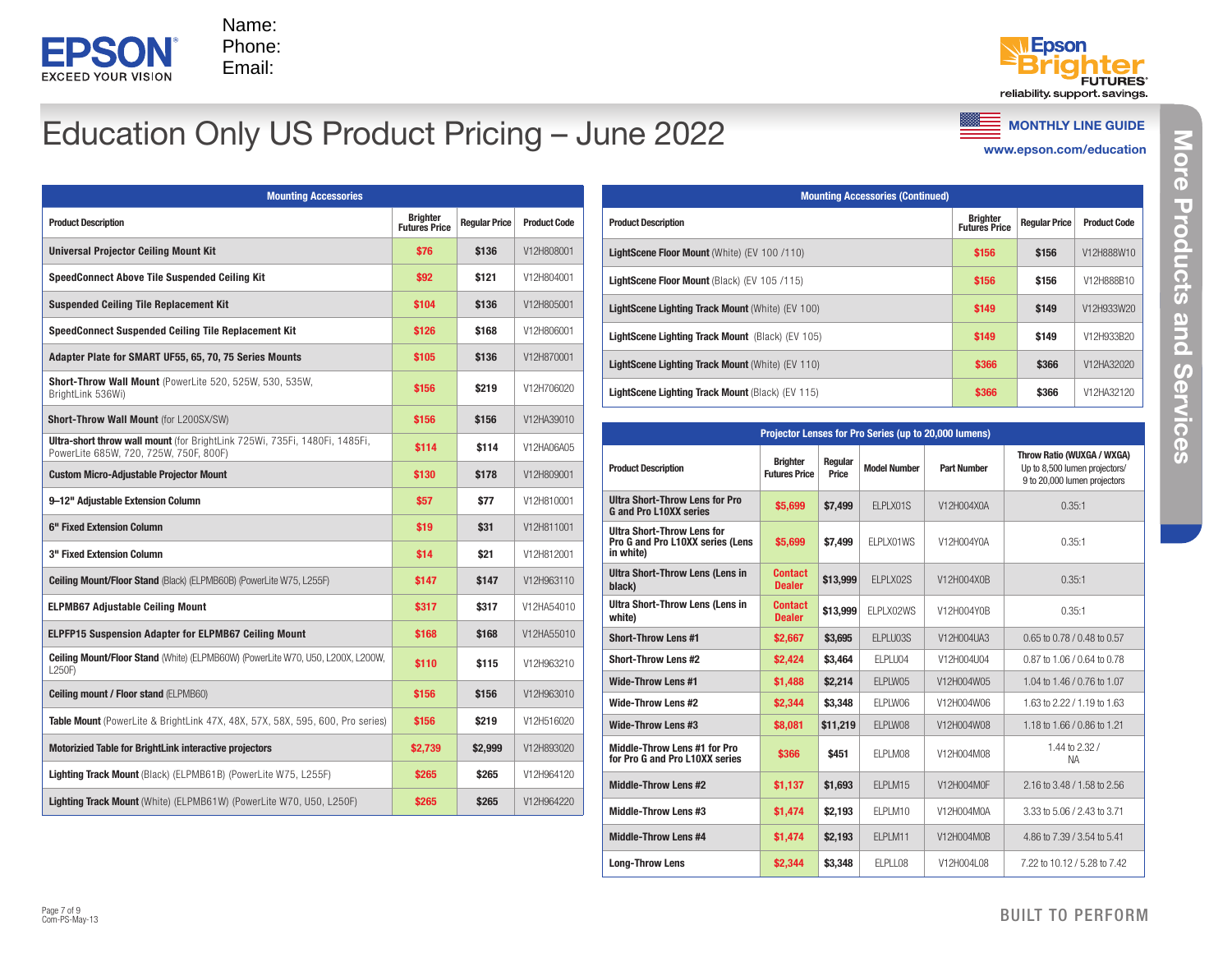



# Education Only US Product Pricing – June 2022

www.epson.com/education

| <b>Mounting Accessories</b>                                                                                                 |                                         |                      |                     |
|-----------------------------------------------------------------------------------------------------------------------------|-----------------------------------------|----------------------|---------------------|
| <b>Product Description</b>                                                                                                  | <b>Brighter</b><br><b>Futures Price</b> | <b>Regular Price</b> | <b>Product Code</b> |
| <b>Universal Projector Ceiling Mount Kit</b>                                                                                | \$76                                    | \$136                | V12H808001          |
| <b>SpeedConnect Above Tile Suspended Ceiling Kit</b>                                                                        | \$92                                    | \$121                | V12H804001          |
| <b>Suspended Ceiling Tile Replacement Kit</b>                                                                               | \$104                                   | \$136                | V12H805001          |
| SpeedConnect Suspended Ceiling Tile Replacement Kit                                                                         | \$126                                   | \$168                | V12H806001          |
| Adapter Plate for SMART UF55, 65, 70, 75 Series Mounts                                                                      | \$105                                   | \$136                | V12H870001          |
| <b>Short-Throw Wall Mount (PowerLite 520, 525W, 530, 535W,</b><br>BrightLink 536Wi)                                         | \$156                                   | \$219                | V12H706020          |
| Short-Throw Wall Mount (for L200SX/SW)                                                                                      | \$156                                   | \$156                | V12HA39010          |
| <b>Ultra-short throw wall mount</b> (for BrightLink 725Wi, 735Fi, 1480Fi, 1485Fi,<br>PowerLite 685W, 720, 725W, 750F, 800F) | \$114                                   | \$114                | V12HA06A05          |
| <b>Custom Micro-Adjustable Projector Mount</b>                                                                              | \$130                                   | \$178                | V12H809001          |
| 9-12" Adjustable Extension Column                                                                                           | \$57                                    | \$77                 | V12H810001          |
| 6" Fixed Extension Column                                                                                                   | \$19                                    | \$31                 | V12H811001          |
| 3" Fixed Extension Column                                                                                                   | \$14                                    | \$21                 | V12H812001          |
| <b>Ceiling Mount/Floor Stand (Black) (ELPMB60B) (PowerLite W75, L255F)</b>                                                  | \$147                                   | \$147                | V12H963110          |
| <b>ELPMB67 Adjustable Ceiling Mount</b>                                                                                     | \$317                                   | \$317                | V12HA54010          |
| <b>ELPFP15 Suspension Adapter for ELPMB67 Ceiling Mount</b>                                                                 | \$168                                   | \$168                | V12HA55010          |
| <b>Ceiling Mount/Floor Stand</b> (White) (ELPMB60W) (PowerLite W70, U50, L200X, L200W,<br>L250F)                            | \$110                                   | \$115                | V12H963210          |
| <b>Ceiling mount / Floor stand (ELPMB60)</b>                                                                                | \$156                                   | \$156                | V12H963010          |
| <b>Table Mount</b> (PowerLite & BrightLink 47X, 48X, 57X, 58X, 595, 600, Pro series)                                        | \$156                                   | \$219                | V12H516020          |
| <b>Motorizied Table for BrightLink interactive projectors</b>                                                               | \$2,739                                 | \$2,999              | V12H893020          |
| <b>Lighting Track Mount</b> (Black) (ELPMB61B) (PowerLite W75, L255F)                                                       | \$265                                   | \$265                | V12H964120          |
| <b>Lighting Track Mount</b> (White) (ELPMB61W) (PowerLite W70, U50, L250F)                                                  | \$265                                   | \$265                | V12H964220          |

| <b>Mounting Accessories (Continued)</b>                 |                                         |                      |                     |  |  |  |  |  |  |  |
|---------------------------------------------------------|-----------------------------------------|----------------------|---------------------|--|--|--|--|--|--|--|
| <b>Product Description</b>                              | <b>Brighter</b><br><b>Futures Price</b> | <b>Regular Price</b> | <b>Product Code</b> |  |  |  |  |  |  |  |
| <b>LightScene Floor Mount (White) (EV 100/110)</b>      | \$156                                   | \$156                | V12H888W10          |  |  |  |  |  |  |  |
| LightScene Floor Mount (Black) (EV 105/115)             | \$156                                   | \$156                | V12H888B10          |  |  |  |  |  |  |  |
| <b>LightScene Lighting Track Mount (White) (EV 100)</b> | \$149                                   | \$149                | V12H933W20          |  |  |  |  |  |  |  |
| <b>LightScene Lighting Track Mount (Black) (EV 105)</b> | \$149                                   | \$149                | V12H933B20          |  |  |  |  |  |  |  |
| <b>LightScene Lighting Track Mount (White) (EV 110)</b> | \$366                                   | \$366                | V12HA32020          |  |  |  |  |  |  |  |
| <b>LightScene Lighting Track Mount (Black) (EV 115)</b> | \$366                                   | \$366                | V12HA32120          |  |  |  |  |  |  |  |

| Projector Lenses for Pro Series (up to 20,000 lumens)                              |                                         |                  |                     |                    |                                                                                             |  |  |  |  |  |  |  |
|------------------------------------------------------------------------------------|-----------------------------------------|------------------|---------------------|--------------------|---------------------------------------------------------------------------------------------|--|--|--|--|--|--|--|
| <b>Product Description</b>                                                         | <b>Brighter</b><br><b>Futures Price</b> | Regular<br>Price | <b>Model Number</b> | <b>Part Number</b> | Throw Ratio (WUXGA / WXGA)<br>Up to 8,500 lumen projectors/<br>9 to 20,000 lumen projectors |  |  |  |  |  |  |  |
| <b>Ultra Short-Throw Lens for Pro</b><br><b>G</b> and Pro L10XX series             | \$5.699                                 | \$7,499          | ELPLX01S            | V12H004X0A         | 0.35:1                                                                                      |  |  |  |  |  |  |  |
| <b>Ultra Short-Throw Lens for</b><br>Pro G and Pro L10XX series (Lens<br>in white) | \$5.699                                 | \$7.499          | ELPLX01WS           | V12H004Y0A         | 0.35:1                                                                                      |  |  |  |  |  |  |  |
| <b>Ultra Short-Throw Lens (Lens in</b><br>black)                                   | <b>Contact</b><br><b>Dealer</b>         | \$13,999         | FI PI X02S          | V12H004X0B         | 0.35:1                                                                                      |  |  |  |  |  |  |  |
| <b>Ultra Short-Throw Lens (Lens in</b><br>white)                                   | <b>Contact</b><br><b>Dealer</b>         | \$13,999         | ELPLX02WS           | V12H004Y0B         | 0.35:1                                                                                      |  |  |  |  |  |  |  |
| <b>Short-Throw Lens #1</b>                                                         | \$2,667                                 | \$3,695          | <b>FI PI U03S</b>   | V12H004UA3         | $0.65$ to 0.78 / 0.48 to 0.57                                                               |  |  |  |  |  |  |  |
| <b>Short-Throw Lens #2</b>                                                         | \$2,424                                 | \$3,464          | FI PI U04           | V12H004U04         | 0.87 to 1.06 / 0.64 to 0.78                                                                 |  |  |  |  |  |  |  |
| <b>Wide-Throw Lens #1</b>                                                          | \$1,488                                 | \$2,214          | <b>FI PI W05</b>    | V12H004W05         | 1.04 to 1.46 / 0.76 to 1.07                                                                 |  |  |  |  |  |  |  |
| <b>Wide-Throw Lens #2</b>                                                          | \$2.344                                 | \$3.348          | ELPLW06             | V12H004W06         | 1.63 to 2.22 / 1.19 to 1.63                                                                 |  |  |  |  |  |  |  |
| <b>Wide-Throw Lens #3</b>                                                          | \$8,081                                 | \$11,219         | FI PI W08           | V12H004W08         | 1.18 to 1.66 / 0.86 to 1.21                                                                 |  |  |  |  |  |  |  |
| Middle-Throw Lens #1 for Pro<br>for Pro G and Pro L10XX series                     | \$366                                   | \$451            | FI PI M08           | V12H004M08         | 1.44 to 2.32 /<br><b>NA</b>                                                                 |  |  |  |  |  |  |  |
| <b>Middle-Throw Lens #2</b>                                                        | \$1.137                                 | \$1.693          | FI PI M15           | V12H004M0F         | 2.16 to 3.48 / 1.58 to 2.56                                                                 |  |  |  |  |  |  |  |
| Middle-Throw Lens #3                                                               | \$1,474                                 | \$2,193          | FI PI M10           | V12H004M0A         | 3.33 to 5.06 / 2.43 to 3.71                                                                 |  |  |  |  |  |  |  |
| <b>Middle-Throw Lens #4</b>                                                        | \$1,474                                 | \$2,193          | <b>FI PI M11</b>    | V12H004M0B         | 4.86 to 7.39 / 3.54 to 5.41                                                                 |  |  |  |  |  |  |  |
| <b>Long-Throw Lens</b>                                                             | \$2,344                                 | \$3,348          | FI PI I 08          | V12H004L08         | 7.22 to 10.12 / 5.28 to 7.42                                                                |  |  |  |  |  |  |  |

BUILT TO PERFORM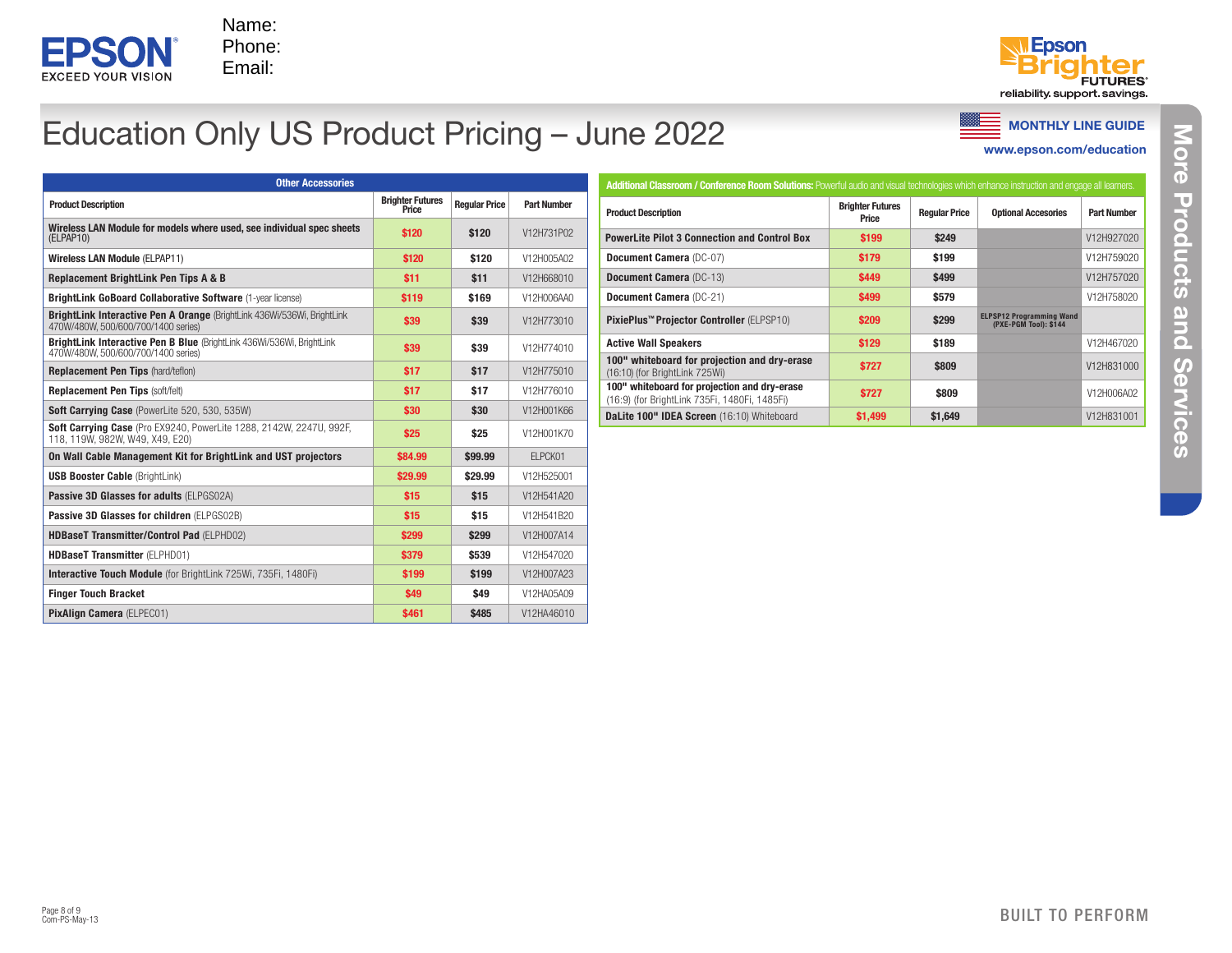



# Education Only US Product Pricing – June 2022

www.epson.com/education

| <b>Other Accessories</b>                                                                                       |                                  |                      |                    |
|----------------------------------------------------------------------------------------------------------------|----------------------------------|----------------------|--------------------|
| <b>Product Description</b>                                                                                     | <b>Brighter Futures</b><br>Price | <b>Regular Price</b> | <b>Part Number</b> |
| Wireless LAN Module for models where used, see individual spec sheets<br>(ELPAP10)                             | \$120                            | \$120                | V12H731P02         |
| <b>Wireless LAN Module (ELPAP11)</b>                                                                           | \$120                            | \$120                | V12H005A02         |
| Replacement BrightLink Pen Tips A & B                                                                          | \$11                             | \$11                 | V12H668010         |
| <b>BrightLink GoBoard Collaborative Software (1-year license)</b>                                              | \$119                            | \$169                | V12H006AA0         |
| BrightLink Interactive Pen A Orange (BrightLink 436Wi/536Wi, BrightLink<br>470W/480W, 500/600/700/1400 series) | \$39                             | \$39                 | V12H773010         |
| BrightLink Interactive Pen B Blue (BrightLink 436Wi/536Wi, BrightLink<br>470W/480W, 500/600/700/1400 series)   | \$39                             | \$39                 | V12H774010         |
| <b>Replacement Pen Tips (hard/teflon)</b>                                                                      | \$17                             | \$17                 | V12H775010         |
| Replacement Pen Tips (soft/felt)                                                                               | \$17                             | \$17                 | V12H776010         |
| Soft Carrving Case (PowerLite 520, 530, 535W)                                                                  | \$30                             | \$30                 | V12H001K66         |
| Soft Carrying Case (Pro EX9240, PowerLite 1288, 2142W, 2247U, 992F,<br>118, 119W, 982W, W49, X49, E20)         | \$25                             | \$25                 | V12H001K70         |
| On Wall Cable Management Kit for BrightLink and UST projectors                                                 | \$84.99                          | \$99.99              | FI PCK01           |
| <b>USB Booster Cable (BrightLink)</b>                                                                          | \$29.99                          | \$29.99              | V12H525001         |
| Passive 3D Glasses for adults (ELPGS02A)                                                                       | \$15                             | \$15                 | V12H541A20         |
| Passive 3D Glasses for children (ELPGS02B)                                                                     | \$15                             | \$15                 | V12H541B20         |
| HDBaseT Transmitter/Control Pad (ELPHD02)                                                                      | \$299                            | \$299                | V12H007A14         |
| <b>HDBaseT Transmitter (ELPHD01)</b>                                                                           | \$379                            | \$539                | V12H547020         |
| Interactive Touch Module (for BrightLink 725Wi, 735Fi, 1480Fi)                                                 | \$199                            | \$199                | V12H007A23         |
| <b>Finger Touch Bracket</b>                                                                                    | \$49                             | \$49                 | V12HA05A09         |
| PixAlian Camera (ELPEC01)                                                                                      | \$461                            | \$485                | V12HA46010         |

| Additional Classroom / Conference Room Solutions: Powerful audio and visual technologies which enhance instruction and engage all leamers. |                                  |                      |                                                          |                    |  |  |  |  |  |
|--------------------------------------------------------------------------------------------------------------------------------------------|----------------------------------|----------------------|----------------------------------------------------------|--------------------|--|--|--|--|--|
| <b>Product Description</b>                                                                                                                 | <b>Brighter Futures</b><br>Price | <b>Regular Price</b> | <b>Optional Accesories</b>                               | <b>Part Number</b> |  |  |  |  |  |
| <b>PowerLite Pilot 3 Connection and Control Box</b>                                                                                        | \$199                            | \$249                |                                                          | V12H927020         |  |  |  |  |  |
| Document Camera (DC-07)                                                                                                                    | \$179                            | \$199                |                                                          | V12H759020         |  |  |  |  |  |
| <b>Document Camera (DC-13)</b>                                                                                                             | \$449                            | \$499                |                                                          | V12H757020         |  |  |  |  |  |
| Document Camera (DC-21)                                                                                                                    | \$499                            | \$579                |                                                          | V12H758020         |  |  |  |  |  |
| PixiePlus <sup>™</sup> Projector Controller (ELPSP10)                                                                                      | \$209                            | \$299                | <b>ELPSP12 Programming Wand</b><br>(PXE-PGM Tool): \$144 |                    |  |  |  |  |  |
| <b>Active Wall Speakers</b>                                                                                                                | \$129                            | \$189                |                                                          | V12H467020         |  |  |  |  |  |
| 100" whiteboard for projection and dry-erase<br>(16:10) (for BrightLink 725Wi)                                                             | \$727                            | \$809                |                                                          | V12H831000         |  |  |  |  |  |
| 100" whiteboard for projection and dry-erase<br>(16:9) (for BrightLink 735Fi, 1480Fi, 1485Fi)                                              | \$727                            | \$809                |                                                          | V12H006A02         |  |  |  |  |  |
| DaLite 100" IDEA Screen (16:10) Whiteboard                                                                                                 | \$1,499                          | \$1,649              |                                                          | V12H831001         |  |  |  |  |  |